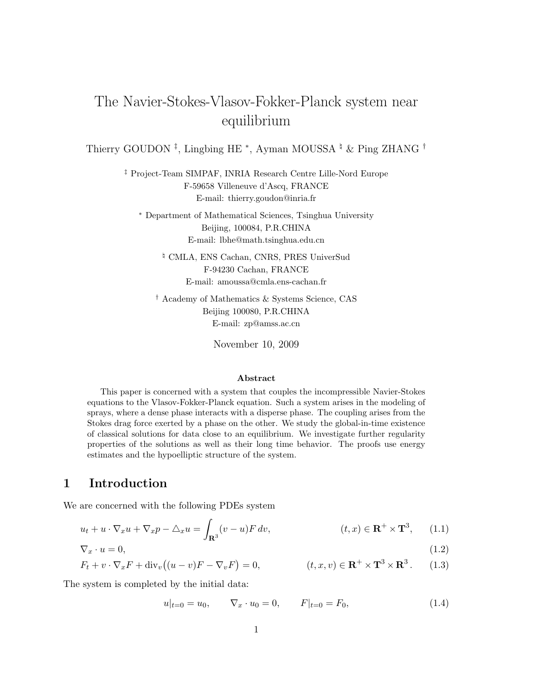# The Navier-Stokes-Vlasov-Fokker-Planck system near equilibrium

Thierry GOUDON<sup>‡</sup>, Lingbing HE<sup>\*</sup>, Ayman MOUSSA <sup>‡</sup> & Ping ZHANG <sup>†</sup>

‡ Project-Team SIMPAF, INRIA Research Centre Lille-Nord Europe F-59658 Villeneuve d'Ascq, FRANCE E-mail: thierry.goudon@inria.fr

<sup>∗</sup> Department of Mathematical Sciences, Tsinghua University Beijing, 100084, P.R.CHINA E-mail: lbhe@math.tsinghua.edu.cn

> <sup> $\frac{1}{2}$ </sup> CMLA, ENS Cachan, CNRS, PRES UniverSud F-94230 Cachan, FRANCE E-mail: amoussa@cmla.ens-cachan.fr

† Academy of Mathematics & Systems Science, CAS Beijing 100080, P.R.CHINA E-mail: zp@amss.ac.cn

November 10, 2009

#### Abstract

This paper is concerned with a system that couples the incompressible Navier-Stokes equations to the Vlasov-Fokker-Planck equation. Such a system arises in the modeling of sprays, where a dense phase interacts with a disperse phase. The coupling arises from the Stokes drag force exerted by a phase on the other. We study the global-in-time existence of classical solutions for data close to an equilibrium. We investigate further regularity properties of the solutions as well as their long time behavior. The proofs use energy estimates and the hypoelliptic structure of the system.

### 1 Introduction

We are concerned with the following PDEs system

$$
u_t + u \cdot \nabla_x u + \nabla_x p - \Delta_x u = \int_{\mathbf{R}^3} (v - u) F dv, \qquad (t, x) \in \mathbf{R}^+ \times \mathbf{T}^3, \qquad (1.1)
$$
  

$$
\nabla_x \cdot u = 0, \qquad (1.2)
$$

$$
(1.2)
$$

$$
F_t + v \cdot \nabla_x F + \text{div}_v \big( (u - v)F - \nabla_v F \big) = 0, \qquad (t, x, v) \in \mathbf{R}^+ \times \mathbf{T}^3 \times \mathbf{R}^3. \tag{1.3}
$$

The system is completed by the initial data:

$$
u|_{t=0} = u_0, \qquad \nabla_x \cdot u_0 = 0, \qquad F|_{t=0} = F_0,
$$
\n(1.4)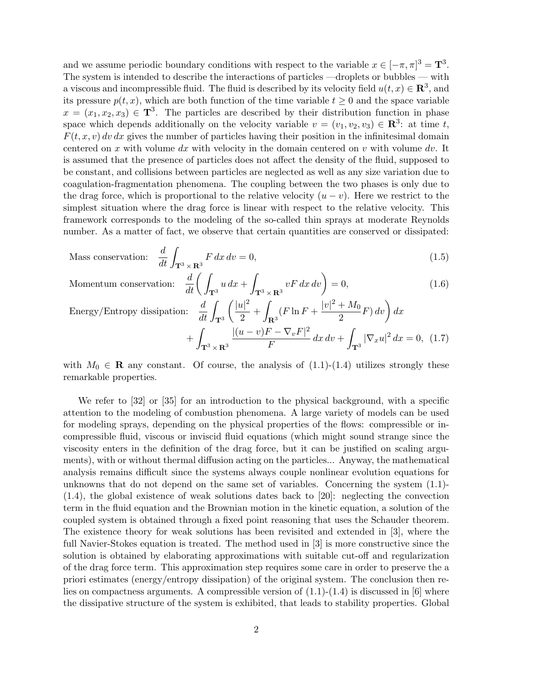and we assume periodic boundary conditions with respect to the variable  $x \in [-\pi, \pi]^3 = \mathbf{T}^3$ . The system is intended to describe the interactions of particles —droplets or bubbles — with a viscous and incompressible fluid. The fluid is described by its velocity field  $u(t, x) \in \mathbb{R}^3$ , and its pressure  $p(t, x)$ , which are both function of the time variable  $t \geq 0$  and the space variable  $x = (x_1, x_2, x_3) \in \mathbf{T}^3$ . The particles are described by their distribution function in phase space which depends additionally on the velocity variable  $v = (v_1, v_2, v_3) \in \mathbb{R}^3$ : at time t,  $F(t, x, v)$  dv dx gives the number of particles having their position in the infinitesimal domain centered on x with volume dx with velocity in the domain centered on  $v$  with volume dv. It is assumed that the presence of particles does not affect the density of the fluid, supposed to be constant, and collisions between particles are neglected as well as any size variation due to coagulation-fragmentation phenomena. The coupling between the two phases is only due to the drag force, which is proportional to the relative velocity  $(u - v)$ . Here we restrict to the simplest situation where the drag force is linear with respect to the relative velocity. This framework corresponds to the modeling of the so-called thin sprays at moderate Reynolds number. As a matter of fact, we observe that certain quantities are conserved or dissipated:

Mass conservation: 
$$
\frac{d}{dt} \int_{\mathbf{T}^3 \times \mathbf{R}^3} F dx dv = 0,
$$
 (1.5)

Momentum conservation:  $\frac{d}{dt} \left( \int_{\mathbf{T}^3}$  $u dx +$  ${\bf T}^3\times {\bf R}^3$  $vF dx dv$  $(1.6)$ 

Energy/Entropy dissipation: 
$$
\frac{d}{dt} \int_{\mathbf{T}^3} \left( \frac{|u|^2}{2} + \int_{\mathbf{R}^3} (F \ln F + \frac{|v|^2 + M_0}{2} F) dv \right) dx
$$

$$
+ \int_{\mathbf{T}^3 \times \mathbf{R}^3} \frac{|(u-v)F - \nabla_v F|^2}{F} dx dv + \int_{\mathbf{T}^3} |\nabla_x u|^2 dx = 0, \quad (1.7)
$$

with  $M_0 \in \mathbf{R}$  any constant. Of course, the analysis of  $(1.1)-(1.4)$  utilizes strongly these remarkable properties.

We refer to [32] or [35] for an introduction to the physical background, with a specific attention to the modeling of combustion phenomena. A large variety of models can be used for modeling sprays, depending on the physical properties of the flows: compressible or incompressible fluid, viscous or inviscid fluid equations (which might sound strange since the viscosity enters in the definition of the drag force, but it can be justified on scaling arguments), with or without thermal diffusion acting on the particles... Anyway, the mathematical analysis remains difficult since the systems always couple nonlinear evolution equations for unknowns that do not depend on the same set of variables. Concerning the system (1.1)- (1.4), the global existence of weak solutions dates back to [20]: neglecting the convection term in the fluid equation and the Brownian motion in the kinetic equation, a solution of the coupled system is obtained through a fixed point reasoning that uses the Schauder theorem. The existence theory for weak solutions has been revisited and extended in [3], where the full Navier-Stokes equation is treated. The method used in [3] is more constructive since the solution is obtained by elaborating approximations with suitable cut-off and regularization of the drag force term. This approximation step requires some care in order to preserve the a priori estimates (energy/entropy dissipation) of the original system. The conclusion then relies on compactness arguments. A compressible version of  $(1.1)-(1.4)$  is discussed in [6] where the dissipative structure of the system is exhibited, that leads to stability properties. Global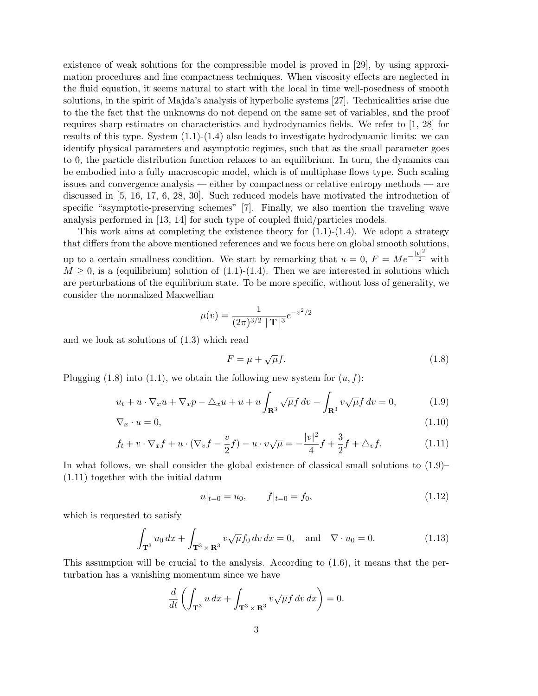existence of weak solutions for the compressible model is proved in [29], by using approximation procedures and fine compactness techniques. When viscosity effects are neglected in the fluid equation, it seems natural to start with the local in time well-posedness of smooth solutions, in the spirit of Majda's analysis of hyperbolic systems [27]. Technicalities arise due to the the fact that the unknowns do not depend on the same set of variables, and the proof requires sharp estimates on characteristics and hydrodynamics fields. We refer to [1, 28] for results of this type. System  $(1.1)-(1.4)$  also leads to investigate hydrodynamic limits: we can identify physical parameters and asymptotic regimes, such that as the small parameter goes to 0, the particle distribution function relaxes to an equilibrium. In turn, the dynamics can be embodied into a fully macroscopic model, which is of multiphase flows type. Such scaling issues and convergence analysis — either by compactness or relative entropy methods — are discussed in [5, 16, 17, 6, 28, 30]. Such reduced models have motivated the introduction of specific "asymptotic-preserving schemes" [7]. Finally, we also mention the traveling wave analysis performed in [13, 14] for such type of coupled fluid/particles models.

This work aims at completing the existence theory for  $(1.1)-(1.4)$ . We adopt a strategy that differs from the above mentioned references and we focus here on global smooth solutions, up to a certain smallness condition. We start by remarking that  $u = 0$ ,  $F = Me^{-\frac{|v|^2}{2}}$  with  $M \geq 0$ , is a (equilibrium) solution of (1.1)-(1.4). Then we are interested in solutions which are perturbations of the equilibrium state. To be more specific, without loss of generality, we consider the normalized Maxwellian

$$
\mu(v) = \frac{1}{(2\pi)^{3/2} |\mathbf{T}|^3} e^{-v^2/2}
$$

and we look at solutions of (1.3) which read

$$
F = \mu + \sqrt{\mu}f. \tag{1.8}
$$

Plugging (1.8) into (1.1), we obtain the following new system for  $(u, f)$ :

$$
u_t + u \cdot \nabla_x u + \nabla_x p - \triangle_x u + u + u \int_{\mathbf{R}^3} \sqrt{\mu} f \, dv - \int_{\mathbf{R}^3} v \sqrt{\mu} f \, dv = 0, \tag{1.9}
$$

$$
\nabla_x \cdot u = 0,\tag{1.10}
$$

$$
f_t + v \cdot \nabla_x f + u \cdot (\nabla_v f - \frac{v}{2} f) - u \cdot v \sqrt{\mu} = -\frac{|v|^2}{4} f + \frac{3}{2} f + \triangle_v f. \tag{1.11}
$$

In what follows, we shall consider the global existence of classical small solutions to (1.9)– (1.11) together with the initial datum

$$
u|_{t=0} = u_0, \t f|_{t=0} = f_0,
$$
\t(1.12)

which is requested to satisfy

$$
\int_{\mathbf{T}^3} u_0 dx + \int_{\mathbf{T}^3 \times \mathbf{R}^3} v \sqrt{\mu} f_0 dv dx = 0, \text{ and } \nabla \cdot u_0 = 0.
$$
\n(1.13)

This assumption will be crucial to the analysis. According to (1.6), it means that the perturbation has a vanishing momentum since we have

$$
\frac{d}{dt}\left(\int_{\mathbf{T}^3} u\,dx + \int_{\mathbf{T}^3 \times \mathbf{R}^3} v\sqrt{\mu}f\,dv\,dx\right) = 0.
$$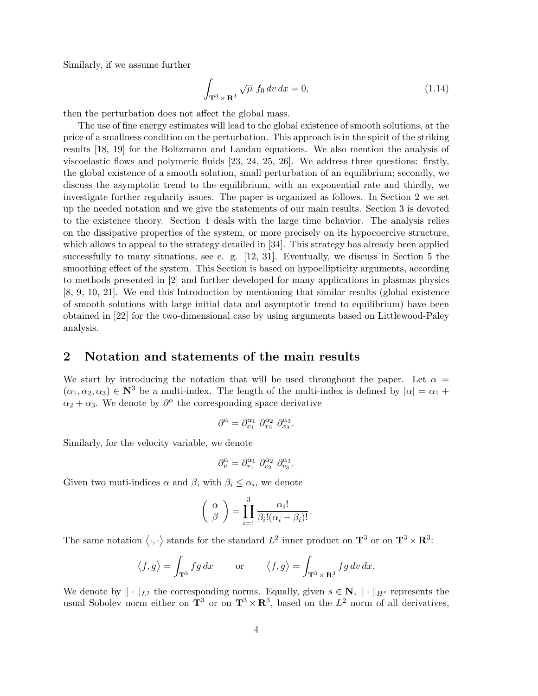Similarly, if we assume further

$$
\int_{\mathbf{T}^3 \times \mathbf{R}^3} \sqrt{\mu} \, f_0 \, dv \, dx = 0,\tag{1.14}
$$

then the perturbation does not affect the global mass.

The use of fine energy estimates will lead to the global existence of smooth solutions, at the price of a smallness condition on the perturbation. This approach is in the spirit of the striking results [18, 19] for the Boltzmann and Landau equations. We also mention the analysis of viscoelastic flows and polymeric fluids [23, 24, 25, 26]. We address three questions: firstly, the global existence of a smooth solution, small perturbation of an equilibrium; secondly, we discuss the asymptotic trend to the equilibrium, with an exponential rate and thirdly, we investigate further regularity issues. The paper is organized as follows. In Section 2 we set up the needed notation and we give the statements of our main results. Section 3 is devoted to the existence theory. Section 4 deals with the large time behavior. The analysis relies on the dissipative properties of the system, or more precisely on its hypocoercive structure, which allows to appeal to the strategy detailed in [34]. This strategy has already been applied successfully to many situations, see e. g. [12, 31]. Eventually, we discuss in Section 5 the smoothing effect of the system. This Section is based on hypoellipticity arguments, according to methods presented in [2] and further developed for many applications in plasmas physics [8, 9, 10, 21]. We end this Introduction by mentioning that similar results (global existence of smooth solutions with large initial data and asymptotic trend to equilibrium) have been obtained in [22] for the two-dimensional case by using arguments based on Littlewood-Paley analysis.

### 2 Notation and statements of the main results

We start by introducing the notation that will be used throughout the paper. Let  $\alpha =$  $(\alpha_1, \alpha_2, \alpha_3) \in \mathbb{N}^3$  be a multi-index. The length of the multi-index is defined by  $|\alpha| = \alpha_1 +$  $\alpha_2 + \alpha_3$ . We denote by  $\partial^{\alpha}$  the corresponding space derivative

$$
\partial^{\alpha} = \partial_{x_1}^{\alpha_1} \ \partial_{x_2}^{\alpha_2} \ \partial_{x_3}^{\alpha_3}.
$$

Similarly, for the velocity variable, we denote

$$
\partial_v^{\alpha} = \partial_{v_1}^{\alpha_1} \ \partial_{v_2}^{\alpha_2} \ \partial_{v_3}^{\alpha_3}.
$$

Given two muti-indices  $\alpha$  and  $\beta$ , with  $\beta_i \leq \alpha_i$ , we denote

$$
\left(\begin{array}{c} \alpha \\ \beta \end{array}\right) = \prod_{i=1}^3 \frac{\alpha_i!}{\beta_i! (\alpha_i - \beta_i)!}.
$$

The same notation  $\langle \cdot, \cdot \rangle$  stands for the standard  $L^2$  inner product on  $\mathbf{T}^3$  or on  $\mathbf{T}^3 \times \mathbf{R}^3$ :

$$
\langle f, g \rangle = \int_{\mathbf{T}^3} f g \, dx
$$
 or  $\langle f, g \rangle = \int_{\mathbf{T}^3 \times \mathbf{R}^3} f g \, dv \, dx.$ 

We denote by  $\|\cdot\|_{L^2}$  the corresponding norms. Equally, given  $s \in \mathbb{N}$ ,  $\|\cdot\|_{H^s}$  represents the usual Sobolev norm either on  $\mathbf{T}^3$  or on  $\mathbf{T}^3 \times \mathbf{R}^3$ , based on the  $L^2$  norm of all derivatives,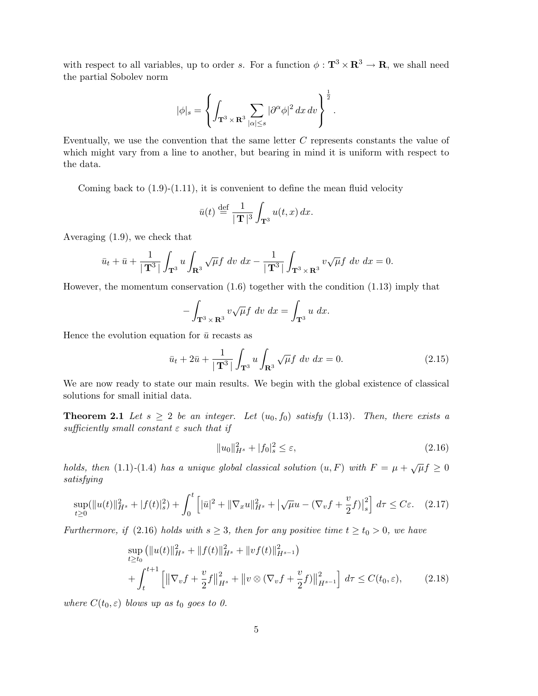with respect to all variables, up to order s. For a function  $\phi : \mathbf{T}^3 \times \mathbf{R}^3 \to \mathbf{R}$ , we shall need the partial Sobolev norm

$$
|\phi|_s = \left\{ \int_{\mathbf{T}^3 \times \mathbf{R}^3} \sum_{|\alpha| \le s} |\partial^{\alpha} \phi|^2 dx dv \right\}^{\frac{1}{2}}.
$$

Eventually, we use the convention that the same letter C represents constants the value of which might vary from a line to another, but bearing in mind it is uniform with respect to the data.

Coming back to  $(1.9)-(1.11)$ , it is convenient to define the mean fluid velocity

$$
\bar{u}(t) \stackrel{\text{def}}{=} \frac{1}{|\mathbf{T}|^3} \int_{\mathbf{T}^3} u(t, x) \, dx.
$$

Averaging (1.9), we check that

$$
\bar{u}_t + \bar{u} + \frac{1}{|\mathbf{T}^3|} \int_{\mathbf{T}^3} u \int_{\mathbf{R}^3} \sqrt{\mu} f \, dv \, dx - \frac{1}{|\mathbf{T}^3|} \int_{\mathbf{T}^3 \times \mathbf{R}^3} v \sqrt{\mu} f \, dv \, dx = 0.
$$

However, the momentum conservation (1.6) together with the condition (1.13) imply that

$$
-\int_{\mathbf{T}^3 \times \mathbf{R}^3} v\sqrt{\mu} f \ dv \ dx = \int_{\mathbf{T}^3} u \ dx.
$$

Hence the evolution equation for  $\bar{u}$  recasts as

$$
\bar{u}_t + 2\bar{u} + \frac{1}{|\mathbf{T}^3|} \int_{\mathbf{T}^3} u \int_{\mathbf{R}^3} \sqrt{\mu} f \, dv \, dx = 0. \tag{2.15}
$$

We are now ready to state our main results. We begin with the global existence of classical solutions for small initial data.

**Theorem 2.1** Let  $s \geq 2$  be an integer. Let  $(u_0, f_0)$  satisfy (1.13). Then, there exists a sufficiently small constant  $\varepsilon$  such that if

$$
||u_0||_{H^s}^2 + |f_0|_s^2 \le \varepsilon,\tag{2.16}
$$

holds, then (1.1)-(1.4) has a unique global classical solution  $(u, F)$  with  $F = \mu + \sqrt{\mu}f \ge 0$ satisfying

$$
\sup_{t\geq 0} (\|u(t)\|_{H^s}^2 + |f(t)|_s^2) + \int_0^t \left[ |\bar{u}|^2 + \|\nabla_x u\|_{H^s}^2 + |\sqrt{\mu}u - (\nabla_v f + \frac{v}{2}f)|_s^2 \right] d\tau \leq C\varepsilon. \tag{2.17}
$$

Furthermore, if (2.16) holds with  $s \geq 3$ , then for any positive time  $t \geq t_0 > 0$ , we have

$$
\sup_{t \ge t_0} (\|u(t)\|_{H^s}^2 + \|f(t)\|_{H^s}^2 + \|vf(t)\|_{H^{s-1}}^2) + \int_t^{t+1} \left[ \|\nabla_v f + \frac{v}{2} f\|_{H^s}^2 + \|v \otimes (\nabla_v f + \frac{v}{2} f)\|_{H^{s-1}}^2 \right] d\tau \le C(t_0, \varepsilon), \tag{2.18}
$$

where  $C(t_0, \varepsilon)$  blows up as  $t_0$  goes to 0.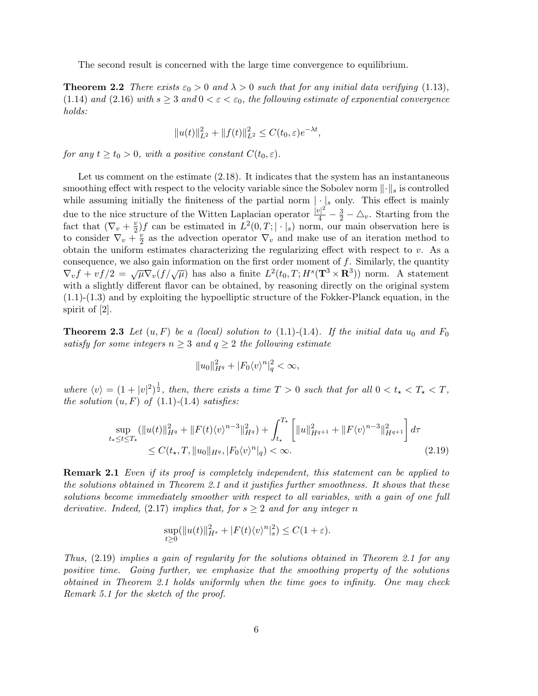The second result is concerned with the large time convergence to equilibrium.

**Theorem 2.2** There exists  $\varepsilon_0 > 0$  and  $\lambda > 0$  such that for any initial data verifying (1.13), (1.14) and (2.16) with  $s \geq 3$  and  $0 < \varepsilon < \varepsilon_0$ , the following estimate of exponential convergence holds:

$$
||u(t)||_{L^{2}}^{2} + ||f(t)||_{L^{2}}^{2} \leq C(t_{0}, \varepsilon)e^{-\lambda t},
$$

for any  $t \ge t_0 > 0$ , with a positive constant  $C(t_0, \varepsilon)$ .

Let us comment on the estimate  $(2.18)$ . It indicates that the system has an instantaneous smoothing effect with respect to the velocity variable since the Sobolev norm  $\lVert \cdot \rVert_s$  is controlled while assuming initially the finiteness of the partial norm  $|\cdot|_s$  only. This effect is mainly due to the nice structure of the Witten Laplacian operator  $\frac{|v|^2}{4} - \frac{3}{2} - \triangle_v$ . Starting from the fact that  $(\nabla_v + \frac{v}{2})$  $\frac{v}{2}$  f can be estimated in  $L^2(0,T;|\cdot|_s)$  norm, our main observation here is to consider  $\nabla_v + \frac{v}{2}$  $\frac{v}{2}$  as the advection operator  $\nabla_v$  and make use of an iteration method to obtain the uniform estimates characterizing the regularizing effect with respect to  $v$ . As a consequence, we also gain information on the first order moment of f. Similarly, the quantity  $\nabla_v f + v f/2 = \sqrt{\mu} \nabla_v (f/\sqrt{\mu})$  has also a finite  $L^2(t_0, T; H^s(\mathbf{T}^3 \times \mathbf{R}^3))$  norm. A statement with a slightly different flavor can be obtained, by reasoning directly on the original system  $(1.1)-(1.3)$  and by exploiting the hypoelliptic structure of the Fokker-Planck equation, in the spirit of [2].

**Theorem 2.3** Let  $(u, F)$  be a (local) solution to (1.1)-(1.4). If the initial data  $u_0$  and  $F_0$ satisfy for some integers  $n \geq 3$  and  $q \geq 2$  the following estimate

$$
||u_0||_{H^q}^2 + |F_0\langle v\rangle^n||_q^2 < \infty,
$$

where  $\langle v \rangle = (1 + |v|^2)^{\frac{1}{2}}$ , then, there exists a time  $T > 0$  such that for all  $0 < t_{\star} < T_{\star} < T$ , the solution  $(u, F)$  of  $(1.1)-(1.4)$  satisfies:

$$
\sup_{t_{\star} \leq t \leq T_{\star}} (\|u(t)\|_{H^{q}}^{2} + \|F(t)\langle v\rangle^{n-3}\|_{H^{q}}^{2}) + \int_{t_{\star}}^{T_{\star}} \left[ \|u\|_{H^{q+1}}^{2} + \|F\langle v\rangle^{n-3}\|_{H^{q+1}}^{2} \right] d\tau
$$
\n
$$
\leq C(t_{\star}, T, \|u_{0}\|_{H^{q}}, |F_{0}\langle v\rangle^{n}|_{q}) < \infty. \tag{2.19}
$$

Remark 2.1 Even if its proof is completely independent, this statement can be applied to the solutions obtained in Theorem 2.1 and it justifies further smoothness. It shows that these solutions become immediately smoother with respect to all variables, with a gain of one full derivative. Indeed, (2.17) implies that, for  $s \geq 2$  and for any integer n

$$
\sup_{t\geq 0} (\|u(t)\|_{H^s}^2 + |F(t)\langle v\rangle^n\|_s^2) \leq C(1+\varepsilon).
$$

Thus, (2.19) implies a gain of regularity for the solutions obtained in Theorem 2.1 for any positive time. Going further, we emphasize that the smoothing property of the solutions obtained in Theorem 2.1 holds uniformly when the time goes to infinity. One may check Remark 5.1 for the sketch of the proof.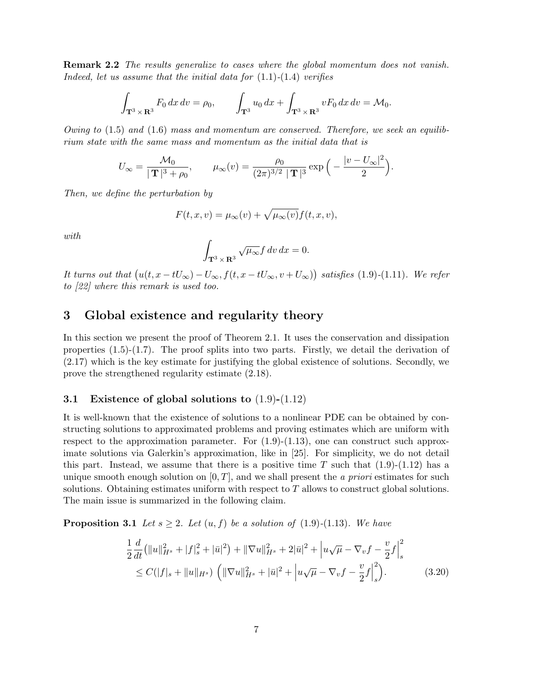Remark 2.2 The results generalize to cases where the global momentum does not vanish. Indeed, let us assume that the initial data for  $(1.1)-(1.4)$  verifies

$$
\int_{\mathbf{T}^3 \times \mathbf{R}^3} F_0 dx dv = \rho_0, \qquad \int_{\mathbf{T}^3} u_0 dx + \int_{\mathbf{T}^3 \times \mathbf{R}^3} v F_0 dx dv = \mathcal{M}_0.
$$

Owing to (1.5) and (1.6) mass and momentum are conserved. Therefore, we seek an equilibrium state with the same mass and momentum as the initial data that is

$$
U_{\infty} = \frac{\mathcal{M}_0}{\|\mathbf{T}\|^3 + \rho_0}, \qquad \mu_{\infty}(v) = \frac{\rho_0}{(2\pi)^{3/2} \|\mathbf{T}\|^3} \exp\Big(-\frac{|v - U_{\infty}|^2}{2}\Big).
$$

Then, we define the perturbation by

$$
F(t, x, v) = \mu_{\infty}(v) + \sqrt{\mu_{\infty}(v)} f(t, x, v),
$$

with

$$
\int_{\mathbf{T}^3 \times \mathbf{R}^3} \sqrt{\mu_{\infty}} f \, dv \, dx = 0.
$$

It turns out that  $(u(t, x - tU_{\infty}) - U_{\infty}, f(t, x - tU_{\infty}, v + U_{\infty}))$  satisfies (1.9)-(1.11). We refer to [22] where this remark is used too.

### 3 Global existence and regularity theory

In this section we present the proof of Theorem 2.1. It uses the conservation and dissipation properties  $(1.5)-(1.7)$ . The proof splits into two parts. Firstly, we detail the derivation of (2.17) which is the key estimate for justifying the global existence of solutions. Secondly, we prove the strengthened regularity estimate (2.18).

#### 3.1 Existence of global solutions to (1.9)-(1.12)

It is well-known that the existence of solutions to a nonlinear PDE can be obtained by constructing solutions to approximated problems and proving estimates which are uniform with respect to the approximation parameter. For  $(1.9)-(1.13)$ , one can construct such approximate solutions via Galerkin's approximation, like in [25]. For simplicity, we do not detail this part. Instead, we assume that there is a positive time T such that  $(1.9)-(1.12)$  has a unique smooth enough solution on  $[0, T]$ , and we shall present the *a priori* estimates for such solutions. Obtaining estimates uniform with respect to  $T$  allows to construct global solutions. The main issue is summarized in the following claim.

**Proposition 3.1** Let  $s \geq 2$ . Let  $(u, f)$  be a solution of (1.9)-(1.13). We have

$$
\frac{1}{2}\frac{d}{dt}\left(\|u\|_{H^s}^2 + |f|_s^2 + |\bar{u}|^2\right) + \|\nabla u\|_{H^s}^2 + 2|\bar{u}|^2 + \left|u\sqrt{\mu} - \nabla_v f - \frac{v}{2}f\right|_s^2
$$
\n
$$
\leq C(|f|_s + \|u\|_{H^s}) \left(\|\nabla u\|_{H^s}^2 + |\bar{u}|^2 + \left|u\sqrt{\mu} - \nabla_v f - \frac{v}{2}f\right|_s^2\right). \tag{3.20}
$$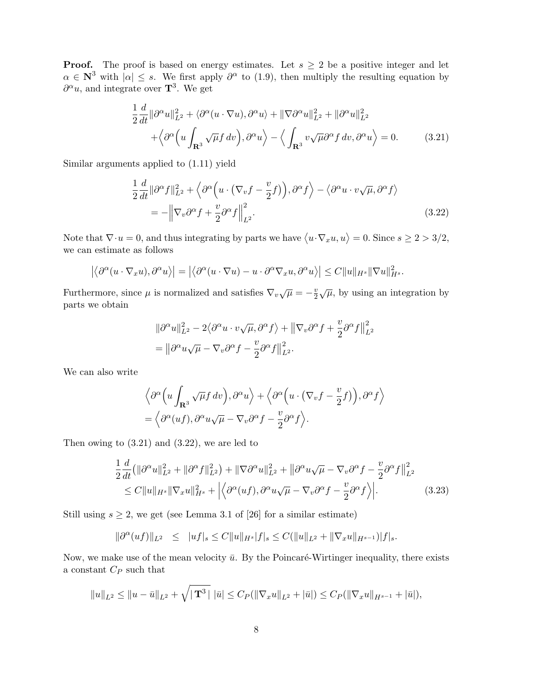**Proof.** The proof is based on energy estimates. Let  $s \geq 2$  be a positive integer and let  $\alpha \in \mathbb{N}^3$  with  $|\alpha| \leq s$ . We first apply  $\partial^{\alpha}$  to (1.9), then multiply the resulting equation by  $\partial^{\alpha}u$ , and integrate over **T**<sup>3</sup>. We get

$$
\frac{1}{2}\frac{d}{dt}\|\partial^{\alpha}u\|_{L^{2}}^{2} + \langle \partial^{\alpha}(u\cdot\nabla u), \partial^{\alpha}u \rangle + \|\nabla\partial^{\alpha}u\|_{L^{2}}^{2} + \|\partial^{\alpha}u\|_{L^{2}}^{2} + \langle \partial^{\alpha}(u\int_{\mathbf{R}^{3}}\sqrt{\mu}f\,dv), \partial^{\alpha}u \rangle - \langle \int_{\mathbf{R}^{3}}v\sqrt{\mu}\partial^{\alpha}f\,dv, \partial^{\alpha}u \rangle = 0.
$$
\n(3.21)

Similar arguments applied to (1.11) yield

$$
\frac{1}{2}\frac{d}{dt}\|\partial^{\alpha}f\|_{L^{2}}^{2} + \left\langle \partial^{\alpha}\Big(u \cdot \big(\nabla_{v}f - \frac{v}{2}f\big)\Big), \partial^{\alpha}f \right\rangle - \left\langle \partial^{\alpha}u \cdot v\sqrt{\mu}, \partial^{\alpha}f \right\rangle
$$
\n
$$
= -\left\|\nabla_{v}\partial^{\alpha}f + \frac{v}{2}\partial^{\alpha}f\right\|_{L^{2}}^{2}.\tag{3.22}
$$

Note that  $\nabla \cdot u = 0$ , and thus integrating by parts we have  $\langle u \cdot \nabla_x u, u \rangle = 0$ . Since  $s \ge 2 > 3/2$ , we can estimate as follows

$$
\left| \left\langle \partial^{\alpha} (u \cdot \nabla_x u), \partial^{\alpha} u \right\rangle \right| = \left| \left\langle \partial^{\alpha} (u \cdot \nabla u) - u \cdot \partial^{\alpha} \nabla_x u, \partial^{\alpha} u \right\rangle \right| \leq C \|u\|_{H^s} \|\nabla u\|_{H^s}^2.
$$

Furthermore, since  $\mu$  is normalized and satisfies  $\nabla_v \sqrt{\mu} = -\frac{v}{2}$  $\frac{v}{2}\sqrt{\mu}$ , by using an integration by parts we obtain

$$
\|\partial^{\alpha}u\|_{L^{2}}^{2} - 2\langle \partial^{\alpha}u \cdot v\sqrt{\mu}, \partial^{\alpha}f \rangle + \|\nabla_{v}\partial^{\alpha}f + \frac{v}{2}\partial^{\alpha}f\|_{L^{2}}^{2}
$$
  
= 
$$
\|\partial^{\alpha}u\sqrt{\mu} - \nabla_{v}\partial^{\alpha}f - \frac{v}{2}\partial^{\alpha}f\|_{L^{2}}^{2}.
$$

We can also write

$$
\langle \partial^{\alpha} \Big( u \int_{\mathbf{R}^3} \sqrt{\mu} f \, dv \Big) , \partial^{\alpha} u \rangle + \langle \partial^{\alpha} \Big( u \cdot (\nabla_v f - \frac{v}{2} f) \Big) , \partial^{\alpha} f \rangle
$$
  
=  $\langle \partial^{\alpha} (uf), \partial^{\alpha} u \sqrt{\mu} - \nabla_v \partial^{\alpha} f - \frac{v}{2} \partial^{\alpha} f \rangle.$ 

Then owing to (3.21) and (3.22), we are led to

$$
\frac{1}{2}\frac{d}{dt}\left(\|\partial^{\alpha}u\|_{L^{2}}^{2}+\|\partial^{\alpha}f\|_{L^{2}}^{2}\right)+\|\nabla\partial^{\alpha}u\|_{L^{2}}^{2}+\|\partial^{\alpha}u\sqrt{\mu}-\nabla_{v}\partial^{\alpha}f-\frac{v}{2}\partial^{\alpha}f\|_{L^{2}}^{2}\leq C\|u\|_{H^{s}}\|\nabla_{x}u\|_{H^{s}}^{2}+\left|\left\langle\partial^{\alpha}(uf),\partial^{\alpha}u\sqrt{\mu}-\nabla_{v}\partial^{\alpha}f-\frac{v}{2}\partial^{\alpha}f\right\rangle\right|.
$$
\n(3.23)

Still using  $s \geq 2$ , we get (see Lemma 3.1 of [26] for a similar estimate)

$$
\|\partial^{\alpha}(uf)\|_{L^{2}} \leq |uf|_{s} \leq C\|u\|_{H^{s}}|f|_{s} \leq C(\|u\|_{L^{2}} + \|\nabla_{x}u\|_{H^{s-1}})|f|_{s}.
$$

Now, we make use of the mean velocity  $\bar{u}$ . By the Poincaré-Wirtinger inequality, there exists a constant  $C_P$  such that

$$
||u||_{L^2} \le ||u - \bar{u}||_{L^2} + \sqrt{|\mathbf{T}^3|} \, |\bar{u}| \le C_P(||\nabla_x u||_{L^2} + |\bar{u}|) \le C_P(||\nabla_x u||_{H^{s-1}} + |\bar{u}|),
$$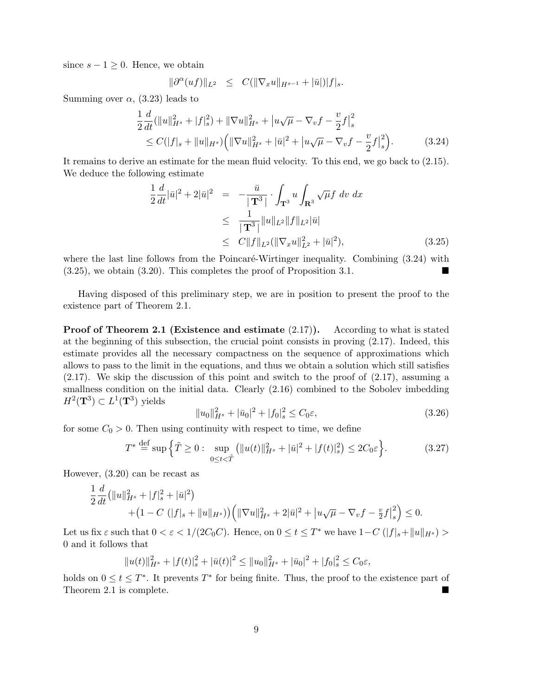since  $s - 1 \geq 0$ . Hence, we obtain

$$
\|\partial^\alpha(uf)\|_{L^2}\ \leq\ C(\|\nabla_x u\|_{H^{s-1}}+|\bar u|)|f|_s.
$$

Summing over  $\alpha$ , (3.23) leads to

$$
\frac{1}{2}\frac{d}{dt}(\|u\|_{H^s}^2 + |f|_s^2) + \|\nabla u\|_{H^s}^2 + |u\sqrt{\mu} - \nabla_v f - \frac{v}{2}f|_s^2
$$
\n
$$
\leq C(|f|_s + \|u\|_{H^s}) \left( \|\nabla u\|_{H^s}^2 + |\bar{u}|^2 + |u\sqrt{\mu} - \nabla_v f - \frac{v}{2}f|_s^2 \right). \tag{3.24}
$$

It remains to derive an estimate for the mean fluid velocity. To this end, we go back to (2.15). We deduce the following estimate

$$
\frac{1}{2}\frac{d}{dt}|\bar{u}|^2 + 2|\bar{u}|^2 = -\frac{\bar{u}}{|\mathbf{T}^3|} \cdot \int_{\mathbf{T}^3} u \int_{\mathbf{R}^3} \sqrt{\mu} f \, dv \, dx
$$
\n
$$
\leq \frac{1}{|\mathbf{T}^3|} \|u\|_{L^2} \|f\|_{L^2} |\bar{u}|
$$
\n
$$
\leq C \|f\|_{L^2} (\|\nabla_x u\|_{L^2}^2 + |\bar{u}|^2), \tag{3.25}
$$

where the last line follows from the Poincaré-Wirtinger inequality. Combining  $(3.24)$  with (3.25), we obtain (3.20). This completes the proof of Proposition 3.1.

Having disposed of this preliminary step, we are in position to present the proof to the existence part of Theorem 2.1.

**Proof of Theorem 2.1 (Existence and estimate (2.17)).** According to what is stated at the beginning of this subsection, the crucial point consists in proving (2.17). Indeed, this estimate provides all the necessary compactness on the sequence of approximations which allows to pass to the limit in the equations, and thus we obtain a solution which still satisfies  $(2.17)$ . We skip the discussion of this point and switch to the proof of  $(2.17)$ , assuming a smallness condition on the initial data. Clearly  $(2.16)$  combined to the Sobolev imbedding  $H^2(\mathbf{T}^3) \subset L^1(\mathbf{T}^3)$  yields

$$
||u_0||_{H^s}^2 + |\bar{u}_0|^2 + |f_0|_s^2 \le C_0 \varepsilon,
$$
\n(3.26)

for some  $C_0 > 0$ . Then using continuity with respect to time, we define

$$
T^* \stackrel{\text{def}}{=} \sup \left\{ \tilde{T} \ge 0 : \sup_{0 \le t < \tilde{T}} \left( \|u(t)\|_{H^s}^2 + |\bar{u}|^2 + |f(t)|_s^2 \right) \le 2C_0 \varepsilon \right\}.
$$
 (3.27)

However, (3.20) can be recast as

$$
\frac{1}{2}\frac{d}{dt}\left(\|u\|_{H^s}^2 + |f|_s^2 + |\bar{u}|^2\right) \n+ \left(1 - C\left(|f|_s + \|u\|_{H^s}\right)\right)\left(\|\nabla u\|_{H^s}^2 + 2|\bar{u}|^2 + \left|u\sqrt{\mu} - \nabla_v f - \frac{v}{2}f\right|_s^2\right) \leq 0.
$$

Let us fix  $\varepsilon$  such that  $0 < \varepsilon < 1/(2C_0C)$ . Hence, on  $0 \le t \le T^*$  we have  $1-C(|f|_s + ||u||_{H^s}) >$ 0 and it follows that

$$
||u(t)||_{H^s}^2 + |f(t)|_s^2 + |\bar{u}(t)|^2 \le ||u_0||_{H^s}^2 + |\bar{u}_0|^2 + |f_0|_s^2 \le C_0 \varepsilon,
$$

holds on  $0 \le t \le T^*$ . It prevents  $T^*$  for being finite. Thus, the proof to the existence part of Theorem 2.1 is complete.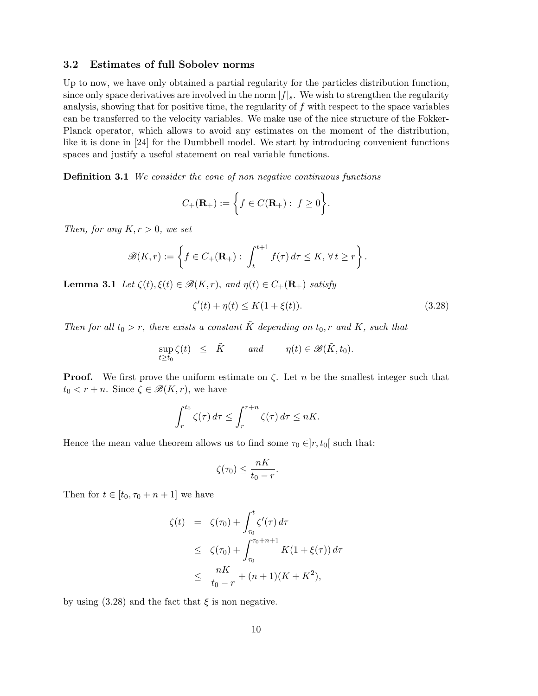#### 3.2 Estimates of full Sobolev norms

Up to now, we have only obtained a partial regularity for the particles distribution function, since only space derivatives are involved in the norm  $|f|_s$ . We wish to strengthen the regularity analysis, showing that for positive time, the regularity of  $f$  with respect to the space variables can be transferred to the velocity variables. We make use of the nice structure of the Fokker-Planck operator, which allows to avoid any estimates on the moment of the distribution, like it is done in [24] for the Dumbbell model. We start by introducing convenient functions spaces and justify a useful statement on real variable functions.

Definition 3.1 We consider the cone of non negative continuous functions

$$
C_{+}(\mathbf{R}_{+}) := \left\{ f \in C(\mathbf{R}_{+}) : f \ge 0 \right\}.
$$

Then, for any  $K, r > 0$ , we set

$$
\mathscr{B}(K,r) := \left\{ f \in C_+(\mathbf{R}_+) : \int_t^{t+1} f(\tau) d\tau \leq K, \forall t \geq r \right\}.
$$

**Lemma 3.1** Let  $\zeta(t), \xi(t) \in \mathcal{B}(K,r)$ , and  $\eta(t) \in C_+(\mathbf{R}_+)$  satisfy

$$
\zeta'(t) + \eta(t) \le K(1 + \xi(t)).
$$
\n(3.28)

Then for all  $t_0 > r$ , there exists a constant  $\tilde{K}$  depending on  $t_0, r$  and  $K$ , such that

$$
\sup_{t \ge t_0} \zeta(t) \le \tilde{K} \quad \text{and} \quad \eta(t) \in \mathscr{B}(\tilde{K}, t_0).
$$

**Proof.** We first prove the uniform estimate on  $\zeta$ . Let n be the smallest integer such that  $t_0 < r + n$ . Since  $\zeta \in \mathcal{B}(K,r)$ , we have

$$
\int_r^{t_0} \zeta(\tau) d\tau \le \int_r^{r+n} \zeta(\tau) d\tau \le nK.
$$

Hence the mean value theorem allows us to find some  $\tau_0 \in ]r, t_0[$  such that:

$$
\zeta(\tau_0) \leq \frac{nK}{t_0 - r}.
$$

Then for  $t \in [t_0, \tau_0 + n + 1]$  we have

$$
\zeta(t) = \zeta(\tau_0) + \int_{\tau_0}^t \zeta'(\tau) d\tau
$$
  
\n
$$
\leq \zeta(\tau_0) + \int_{\tau_0}^{\tau_0 + n + 1} K(1 + \xi(\tau)) d\tau
$$
  
\n
$$
\leq \frac{nK}{t_0 - r} + (n + 1)(K + K^2),
$$

by using  $(3.28)$  and the fact that  $\xi$  is non negative.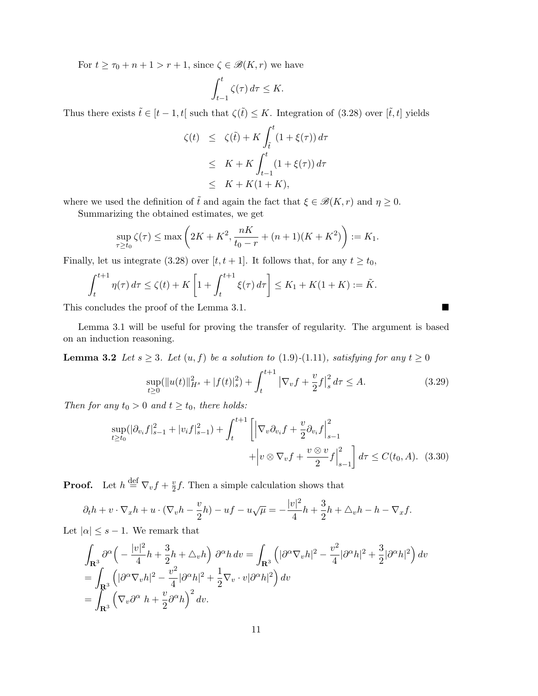For  $t \geq \tau_0 + n + 1 > r + 1$ , since  $\zeta \in \mathcal{B}(K,r)$  we have

$$
\int_{t-1}^t \zeta(\tau) \, d\tau \leq K.
$$

Thus there exists  $\tilde{t} \in [t-1, t]$  such that  $\zeta(\tilde{t}) \leq K$ . Integration of (3.28) over  $[\tilde{t}, t]$  yields

$$
\begin{aligned}\n\zeta(t) &\leq \zeta(\tilde{t}) + K \int_{\tilde{t}}^{t} (1 + \xi(\tau)) \, d\tau \\
&\leq K + K \int_{t-1}^{t} (1 + \xi(\tau)) \, d\tau \\
&\leq K + K(1 + K),\n\end{aligned}
$$

where we used the definition of  $\tilde{t}$  and again the fact that  $\xi \in \mathscr{B}(K,r)$  and  $\eta \geq 0$ . Summarizing the obtained estimates, we get

$$
\sup_{\tau \ge t_0} \zeta(\tau) \le \max \left( 2K + K^2, \frac{nK}{t_0 - r} + (n+1)(K + K^2) \right) := K_1.
$$

Finally, let us integrate (3.28) over  $[t, t + 1]$ . It follows that, for any  $t \ge t_0$ ,

$$
\int_{t}^{t+1} \eta(\tau) d\tau \le \zeta(t) + K \left[ 1 + \int_{t}^{t+1} \xi(\tau) d\tau \right] \le K_1 + K(1+K) := \tilde{K}.
$$

This concludes the proof of the Lemma 3.1.

Lemma 3.1 will be useful for proving the transfer of regularity. The argument is based on an induction reasoning.

**Lemma 3.2** Let  $s \geq 3$ . Let  $(u, f)$  be a solution to (1.9)-(1.11), satisfying for any  $t \geq 0$ 

$$
\sup_{t\geq 0} (\|u(t)\|_{H^s}^2 + |f(t)|_s^2) + \int_t^{t+1} |\nabla_v f + \frac{v}{2} f|_s^2 d\tau \leq A.
$$
 (3.29)

Then for any  $t_0 > 0$  and  $t \ge t_0$ , there holds:

$$
\sup_{t \ge t_0} (|\partial_{v_i} f|_{s-1}^2 + |v_i f|_{s-1}^2) + \int_t^{t+1} \left[ \left| \nabla_v \partial_{v_i} f + \frac{v}{2} \partial_{v_i} f \right|_{s-1}^2 + \left| v \otimes \nabla_v f + \frac{v \otimes v}{2} f \right|_{s-1}^2 \right] d\tau \le C(t_0, A). \tag{3.30}
$$

**Proof.** Let  $h \stackrel{\text{def}}{=} \nabla_v f + \frac{v}{2}$  $\frac{v}{2}f$ . Then a simple calculation shows that

$$
\partial_t h + v \cdot \nabla_x h + u \cdot (\nabla_v h - \frac{v}{2}h) - uf - u\sqrt{\mu} = -\frac{|v|^2}{4}h + \frac{3}{2}h + \Delta_v h - h - \nabla_x f.
$$

Let  $|\alpha| \leq s - 1$ . We remark that

$$
\int_{\mathbf{R}^3} \partial^{\alpha} \left( -\frac{|v|^2}{4} h + \frac{3}{2} h + \Delta_v h \right) \partial^{\alpha} h \, dv = \int_{\mathbf{R}^3} \left( |\partial^{\alpha} \nabla_v h|^2 - \frac{v^2}{4} |\partial^{\alpha} h|^2 + \frac{3}{2} |\partial^{\alpha} h|^2 \right) dv
$$
  
= 
$$
\int_{\mathbf{R}^3} \left( |\partial^{\alpha} \nabla_v h|^2 - \frac{v^2}{4} |\partial^{\alpha} h|^2 + \frac{1}{2} \nabla_v \cdot v |\partial^{\alpha} h|^2 \right) dv
$$
  
= 
$$
\int_{\mathbf{R}^3} \left( \nabla_v \partial^{\alpha} h + \frac{v}{2} \partial^{\alpha} h \right)^2 dv.
$$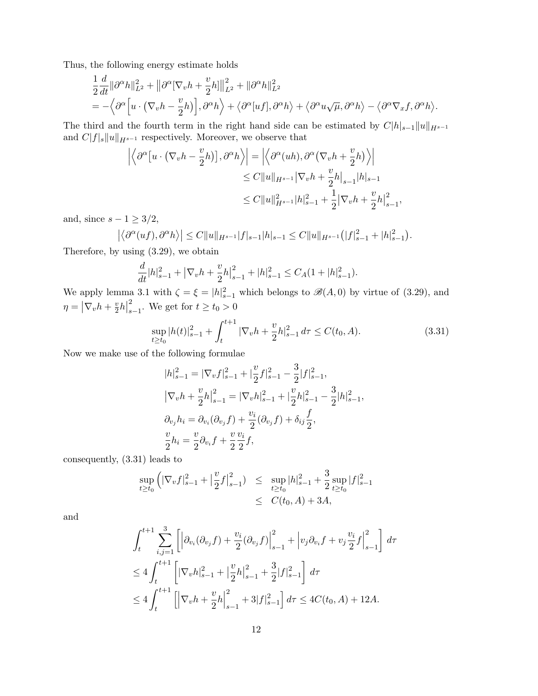Thus, the following energy estimate holds

$$
\begin{split}\n&\frac{1}{2}\frac{d}{dt}\|\partial^{\alpha}h\|_{L^{2}}^{2}+\left\|\partial^{\alpha}[\nabla_{v}h+\frac{v}{2}h]\right\|_{L^{2}}^{2}+\|\partial^{\alpha}h\|_{L^{2}}^{2} \\
&=-\Big\langle\partial^{\alpha}\Big[u\cdot\big(\nabla_{v}h-\frac{v}{2}h\big)\Big],\partial^{\alpha}h\Big\rangle+\Big\langle\partial^{\alpha}[uf],\partial^{\alpha}h\Big\rangle+\Big\langle\partial^{\alpha}u\sqrt{\mu},\partial^{\alpha}h\Big\rangle-\Big\langle\partial^{\alpha}\nabla_{x}f,\partial^{\alpha}h\Big.\rangle.\n\end{split}
$$

The third and the fourth term in the right hand side can be estimated by  $C|h|_{s-1}||u||_{H^{s-1}}$ and  $C|f|_s\|u\|_{H^{s-1}}$  respectively. Moreover, we observe that

$$
\left| \left\langle \partial^{\alpha} \left[ u \cdot (\nabla_{v} h - \frac{v}{2} h) \right], \partial^{\alpha} h \right\rangle \right| = \left| \left\langle \partial^{\alpha} (uh), \partial^{\alpha} (\nabla_{v} h + \frac{v}{2} h) \right\rangle \right|
$$
  
\n
$$
\leq C \|u\|_{H^{s-1}} |\nabla_{v} h + \frac{v}{2} h|_{s-1} |h|_{s-1}
$$
  
\n
$$
\leq C \|u\|_{H^{s-1}}^2 |h|_{s-1}^2 + \frac{1}{2} |\nabla_{v} h + \frac{v}{2} h|_{s-1}^2,
$$

and, since  $s-1\geq 3/2,$ 

$$
\left| \left\langle \partial^{\alpha}(uf), \partial^{\alpha}h \right\rangle \right| \leq C \|u\|_{H^{s-1}} |f|_{s-1} |h|_{s-1} \leq C \|u\|_{H^{s-1}} \left( |f|_{s-1}^2 + |h|_{s-1}^2 \right).
$$

Therefore, by using (3.29), we obtain

$$
\frac{d}{dt}|h|_{s-1}^2 + |\nabla_v h + \frac{v}{2}h|_{s-1}^2 + |h|_{s-1}^2 \le C_A(1+|h|_{s-1}^2).
$$

We apply lemma 3.1 with  $\zeta = \xi = |h|_{s=1}^2$  which belongs to  $\mathscr{B}(A,0)$  by virtue of (3.29), and  $\eta = \left| \nabla_v h + \frac{v}{2} \right|$  $\frac{v}{2}h$ 2  $\sum_{s=1}^{2}$ . We get for  $t \ge t_0 > 0$ 

$$
\sup_{t \ge t_0} |h(t)|_{s-1}^2 + \int_t^{t+1} |\nabla_v h + \frac{v}{2} h|_{s-1}^2 d\tau \le C(t_0, A). \tag{3.31}
$$

Now we make use of the following formulae

$$
|h|_{s-1}^{2} = |\nabla_{v} f|_{s-1}^{2} + |\frac{v}{2} f|_{s-1}^{2} - \frac{3}{2} |f|_{s-1}^{2},
$$
  
\n
$$
|\nabla_{v} h + \frac{v}{2} h|_{s-1}^{2} = |\nabla_{v} h|_{s-1}^{2} + |\frac{v}{2} h|_{s-1}^{2} - \frac{3}{2} |h|_{s-1}^{2},
$$
  
\n
$$
\partial_{v_{j}} h_{i} = \partial_{v_{i}} (\partial_{v_{j}} f) + \frac{v_{i}}{2} (\partial_{v_{j}} f) + \delta_{ij} \frac{f}{2},
$$
  
\n
$$
\frac{v}{2} h_{i} = \frac{v}{2} \partial_{v_{i}} f + \frac{v}{2} \frac{v_{i}}{2} f,
$$

consequently, (3.31) leads to

$$
\sup_{t \ge t_0} \left( |\nabla_v f|_{s-1}^2 + \left| \frac{v}{2} f \right|_{s-1}^2 \right) \le \sup_{t \ge t_0} |h|_{s-1}^2 + \frac{3}{2} \sup_{t \ge t_0} |f|_{s-1}^2
$$
  

$$
\le C(t_0, A) + 3A,
$$

and

$$
\int_{t}^{t+1} \sum_{i,j=1}^{3} \left[ \left| \partial_{v_i} (\partial_{v_j} f) + \frac{v_i}{2} (\partial_{v_j} f) \right|_{s-1}^{2} + \left| v_j \partial_{v_i} f + v_j \frac{v_i}{2} f \right|_{s-1}^{2} \right] d\tau
$$
  
\n
$$
\leq 4 \int_{t}^{t+1} \left[ |\nabla_{v} h|_{s-1}^{2} + |\frac{v}{2} h|_{s-1}^{2} + \frac{3}{2} |f|_{s-1}^{2} \right] d\tau
$$
  
\n
$$
\leq 4 \int_{t}^{t+1} \left[ \left| \nabla_{v} h + \frac{v}{2} h \right|_{s-1}^{2} + 3 |f|_{s-1}^{2} \right] d\tau \leq 4C(t_0, A) + 12A.
$$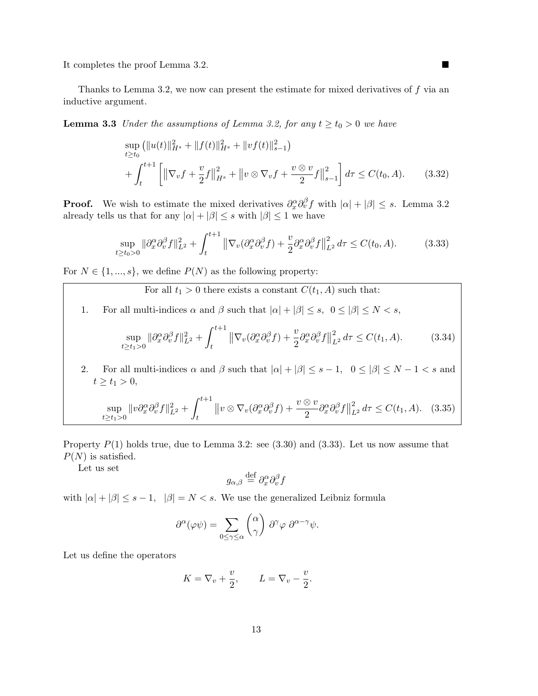It completes the proof Lemma 3.2.

Thanks to Lemma 3.2, we now can present the estimate for mixed derivatives of  $f$  via an inductive argument.

**Lemma 3.3** Under the assumptions of Lemma 3.2, for any  $t \geq t_0 > 0$  we have

$$
\sup_{t \ge t_0} (\|u(t)\|_{H^s}^2 + \|f(t)\|_{H^s}^2 + \|vf(t)\|_{s-1}^2) + \int_t^{t+1} \left[ \|\nabla_v f + \frac{v}{2} f\|_{H^s}^2 + \|v \otimes \nabla_v f + \frac{v \otimes v}{2} f\|_{s-1}^2 \right] d\tau \le C(t_0, A).
$$
 (3.32)

**Proof.** We wish to estimate the mixed derivatives  $\partial_x^{\alpha} \partial_v^{\beta} f$  with  $|\alpha| + |\beta| \leq s$ . Lemma 3.2 already tells us that for any  $|\alpha| + |\beta| \leq s$  with  $|\beta| \leq 1$  we have

$$
\sup_{t \ge t_0 > 0} \|\partial_x^{\alpha} \partial_v^{\beta} f\|_{L^2}^2 + \int_t^{t+1} \left\| \nabla_v (\partial_x^{\alpha} \partial_v^{\beta} f) + \frac{v}{2} \partial_x^{\alpha} \partial_v^{\beta} f \right\|_{L^2}^2 d\tau \le C(t_0, A). \tag{3.33}
$$

For  $N \in \{1, ..., s\}$ , we define  $P(N)$  as the following property:

For all  $t_1 > 0$  there exists a constant  $C(t_1, A)$  such that:

1. For all multi-indices  $\alpha$  and  $\beta$  such that  $|\alpha| + |\beta| \leq s$ ,  $0 \leq |\beta| \leq N < s$ ,

$$
\sup_{t\geq t_1>0} \|\partial_x^{\alpha}\partial_v^{\beta}f\|_{L^2}^2 + \int_t^{t+1} \left\|\nabla_v(\partial_x^{\alpha}\partial_v^{\beta}f) + \frac{v}{2}\partial_x^{\alpha}\partial_v^{\beta}f\right\|_{L^2}^2 d\tau \leq C(t_1, A). \tag{3.34}
$$

2. For all multi-indices  $\alpha$  and  $\beta$  such that  $|\alpha| + |\beta| \leq s - 1$ ,  $0 \leq |\beta| \leq N - 1 < s$  and  $t \ge t_1 > 0,$ 

$$
\sup_{t \ge t_1 > 0} \|v \partial_x^{\alpha} \partial_v^{\beta} f\|_{L^2}^2 + \int_t^{t+1} \|v \otimes \nabla_v (\partial_x^{\alpha} \partial_v^{\beta} f) + \frac{v \otimes v}{2} \partial_x^{\alpha} \partial_v^{\beta} f\|_{L^2}^2 d\tau \le C(t_1, A). \tag{3.35}
$$

Property  $P(1)$  holds true, due to Lemma 3.2: see  $(3.30)$  and  $(3.33)$ . Let us now assume that  $P(N)$  is satisfied.

Let us set

$$
g_{\alpha,\beta} \stackrel{\text{def}}{=} \partial_x^{\alpha} \partial_v^{\beta} f
$$

with  $|\alpha| + |\beta| \leq s - 1$ ,  $|\beta| = N < s$ . We use the generalized Leibniz formula

$$
\partial^{\alpha}(\varphi\psi) = \sum_{0 \leq \gamma \leq \alpha} {\alpha \choose \gamma} \ \partial^{\gamma}\varphi \ \partial^{\alpha-\gamma}\psi.
$$

Let us define the operators

$$
K = \nabla_v + \frac{v}{2}, \qquad L = \nabla_v - \frac{v}{2}.
$$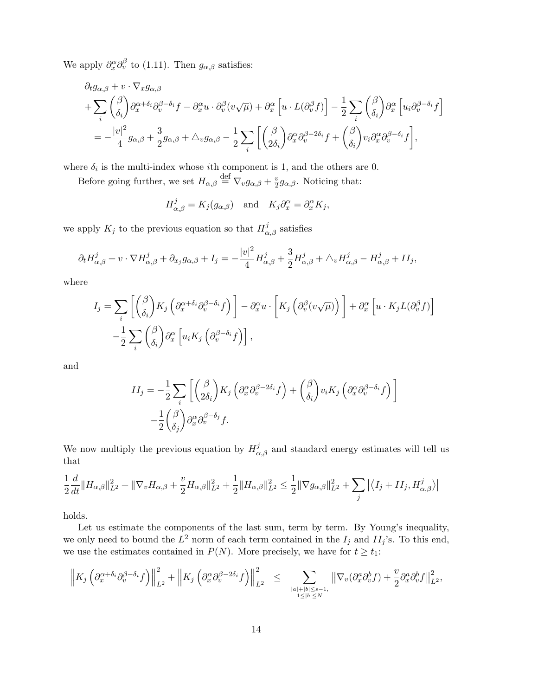We apply  $\partial_x^{\alpha} \partial_v^{\beta}$  to (1.11). Then  $g_{\alpha,\beta}$  satisfies:

$$
\partial_t g_{\alpha,\beta} + v \cdot \nabla_x g_{\alpha,\beta} \n+ \sum_i \binom{\beta}{\delta_i} \partial_x^{\alpha+\delta_i} \partial_v^{\beta-\delta_i} f - \partial_x^{\alpha} u \cdot \partial_v^{\beta} (v \sqrt{\mu}) + \partial_x^{\alpha} \left[ u \cdot L(\partial_v^{\beta} f) \right] - \frac{1}{2} \sum_i \binom{\beta}{\delta_i} \partial_x^{\alpha} \left[ u_i \partial_v^{\beta-\delta_i} f \right] \n= - \frac{|v|^2}{4} g_{\alpha,\beta} + \frac{3}{2} g_{\alpha,\beta} + \Delta_v g_{\alpha,\beta} - \frac{1}{2} \sum_i \left[ \binom{\beta}{2\delta_i} \partial_x^{\alpha} \partial_v^{\beta-2\delta_i} f + \binom{\beta}{\delta_i} v_i \partial_x^{\alpha} \partial_v^{\beta-\delta_i} f \right],
$$

where  $\delta_i$  is the multi-index whose *i*th component is 1, and the others are 0.

Before going further, we set  $H_{\alpha,\beta} \stackrel{\text{def}}{=} \nabla_v g_{\alpha,\beta} + \frac{v}{2}$  $\frac{v}{2}g_{\alpha,\beta}$ . Noticing that:

$$
H^j_{\alpha,\beta} = K_j(g_{\alpha,\beta}) \quad \text{and} \quad K_j \partial_x^{\alpha} = \partial_x^{\alpha} K_j,
$$

we apply  $K_j$  to the previous equation so that  $H^j_{\alpha,\beta}$  satisfies

$$
\partial_t H^j_{\alpha,\beta} + v \cdot \nabla H^j_{\alpha,\beta} + \partial_{x_j} g_{\alpha,\beta} + I_j = -\frac{|v|^2}{4} H^j_{\alpha,\beta} + \frac{3}{2} H^j_{\alpha,\beta} + \Delta_v H^j_{\alpha,\beta} - H^j_{\alpha,\beta} + II_j,
$$

where

$$
I_j = \sum_i \left[ \binom{\beta}{\delta_i} K_j \left( \partial_x^{\alpha + \delta_i} \partial_v^{\beta - \delta_i} f \right) \right] - \partial_x^{\alpha} u \cdot \left[ K_j \left( \partial_v^{\beta} (v \sqrt{\mu}) \right) \right] + \partial_x^{\alpha} \left[ u \cdot K_j L(\partial_v^{\beta} f) \right] - \frac{1}{2} \sum_i \binom{\beta}{\delta_i} \partial_x^{\alpha} \left[ u_i K_j \left( \partial_v^{\beta - \delta_i} f \right) \right],
$$

and

$$
II_j = -\frac{1}{2} \sum_i \left[ \binom{\beta}{2\delta_i} K_j \left( \partial_x^{\alpha} \partial_v^{\beta - 2\delta_i} f \right) + \binom{\beta}{\delta_i} v_i K_j \left( \partial_x^{\alpha} \partial_v^{\beta - \delta_i} f \right) \right] - \frac{1}{2} \binom{\beta}{\delta_j} \partial_x^{\alpha} \partial_v^{\beta - \delta_j} f.
$$

We now multiply the previous equation by  $H_{\alpha,\beta}^j$  and standard energy estimates will tell us that

$$
\frac{1}{2}\frac{d}{dt}\|H_{\alpha,\beta}\|_{L^{2}}^{2}+\|\nabla_{v}H_{\alpha,\beta}+\frac{v}{2}H_{\alpha,\beta}\|_{L^{2}}^{2}+\frac{1}{2}\|H_{\alpha,\beta}\|_{L^{2}}^{2}\leq \frac{1}{2}\|\nabla g_{\alpha,\beta}\|_{L^{2}}^{2}+\sum_{j}\left|\left\langle I_{j}+II_{j},H_{\alpha,\beta}^{j}\right\rangle\right|
$$

holds.

Let us estimate the components of the last sum, term by term. By Young's inequality, we only need to bound the  $L^2$  norm of each term contained in the  $I_j$  and  $II_j$ 's. To this end, we use the estimates contained in  $P(N)$ . More precisely, we have for  $t \ge t_1$ :

$$
\left\| K_j \left( \partial_x^{\alpha+\delta_i} \partial_v^{\beta-\delta_i} f \right) \right\|_{L^2}^2 + \left\| K_j \left( \partial_x^{\alpha} \partial_v^{\beta-2\delta_i} f \right) \right\|_{L^2}^2 \leq \sum_{\substack{|a|+|b| \leq s-1, \\ 1 \leq |b| \leq N}} \left\| \nabla_v (\partial_x^{\alpha} \partial_v^b f) + \frac{v}{2} \partial_x^{\alpha} \partial_v^b f \right\|_{L^2}^2,
$$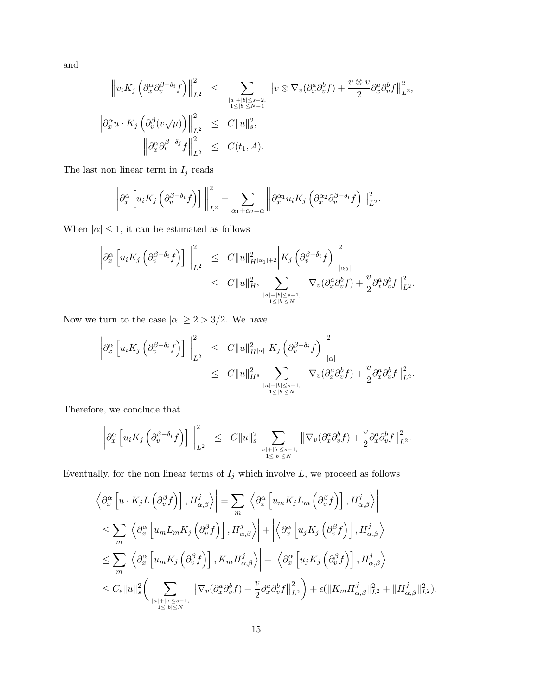and

$$
\|v_i K_j \left(\partial_x^{\alpha} \partial_v^{\beta-\delta_i} f\right)\|_{L^2}^2 \leq \sum_{\substack{|a|+|b| \leq s-2, \\ 1 \leq |b| \leq N-1}} \|v \otimes \nabla_v (\partial_x^{\alpha} \partial_v^b f) + \frac{v \otimes v}{2} \partial_x^{\alpha} \partial_v^b f\|_{L^2}^2,
$$
  

$$
\left\|\partial_x^{\alpha} u \cdot K_j \left(\partial_v^{\beta} (v \sqrt{\mu})\right)\right\|_{L^2}^2 \leq C \|u\|_s^2,
$$
  

$$
\left\|\partial_x^{\alpha} \partial_v^{\beta-\delta_j} f\right\|_{L^2}^2 \leq C(t_1, A).
$$

The last non linear term in  ${\cal I}_j$  reads

$$
\left\|\partial_x^{\alpha}\left[u_iK_j\left(\partial_v^{\beta-\delta_i}f\right)\right]\right\|_{L^2}^2 = \sum_{\alpha_1+\alpha_2=\alpha}\left\|\partial_x^{\alpha_1}u_iK_j\left(\partial_x^{\alpha_2}\partial_v^{\beta-\delta_i}f\right)\right\|_{L^2}^2.
$$

When  $|\alpha|\leq 1,$  it can be estimated as follows

$$
\left\| \partial_x^{\alpha} \left[ u_i K_j \left( \partial_v^{\beta - \delta_i} f \right) \right] \right\|_{L^2}^2 \leq C \|u\|_{H^{|\alpha_1| + 2}}^2 \left| K_j \left( \partial_v^{\beta - \delta_i} f \right) \right\|_{|\alpha_2|}^2
$$
  

$$
\leq C \|u\|_{H^s}^2 \sum_{\substack{|a| + |b| \leq s-1, \\ 1 \leq |b| \leq N}} \left\| \nabla_v (\partial_x^{\alpha} \partial_v^b f) + \frac{v}{2} \partial_x^{\alpha} \partial_v^b f \right\|_{L^2}^2
$$

.

Now we turn to the case  $|\alpha|\geq 2>3/2.$  We have

$$
\left\| \partial_x^{\alpha} \left[ u_i K_j \left( \partial_v^{\beta - \delta_i} f \right) \right] \right\|_{L^2}^2 \leq C \|u\|_{H^{|\alpha|}}^2 \left| K_j \left( \partial_v^{\beta - \delta_i} f \right) \right\|_{|\alpha|}^2
$$
  

$$
\leq C \|u\|_{H^s}^2 \sum_{\substack{|a|+|b| \leq s-1, \\ 1 \leq |b| \leq N}} \| \nabla_v (\partial_x^{\alpha} \partial_v^b f) + \frac{v}{2} \partial_x^{\alpha} \partial_v^b f \|^2_{L^2}.
$$

Therefore, we conclude that

$$
\left\|\partial_x^{\alpha}\left[u_iK_j\left(\partial_v^{\beta-\delta_i}f\right)\right]\right\|_{L^2}^2 \leq C\|u\|_s^2 \sum_{\substack{|a|+|b|\leq s-1,\\1\leq |b|\leq N}} \left\|\nabla_v(\partial_x^a\partial_v^b f) + \frac{v}{2}\partial_x^a\partial_v^b f\right\|_{L^2}^2.
$$

Eventually, for the non linear terms of  $I_j$  which involve  $L$ , we proceed as follows

$$
\left| \left\langle \partial_x^{\alpha} \left[ u \cdot K_j L \left( \partial_v^{\beta} f \right) \right], H_{\alpha,\beta}^{j} \right\rangle \right| = \sum_{m} \left| \left\langle \partial_x^{\alpha} \left[ u_m K_j L_m \left( \partial_v^{\beta} f \right) \right], H_{\alpha,\beta}^{j} \right\rangle \right|
$$
  
\n
$$
\leq \sum_{m} \left| \left\langle \partial_x^{\alpha} \left[ u_m L_m K_j \left( \partial_v^{\beta} f \right) \right], H_{\alpha,\beta}^{j} \right\rangle \right| + \left| \left\langle \partial_x^{\alpha} \left[ u_j K_j \left( \partial_v^{\beta} f \right) \right], H_{\alpha,\beta}^{j} \right\rangle \right|
$$
  
\n
$$
\leq \sum_{m} \left| \left\langle \partial_x^{\alpha} \left[ u_m K_j \left( \partial_v^{\beta} f \right) \right], K_m H_{\alpha,\beta}^{j} \right\rangle \right| + \left| \left\langle \partial_x^{\alpha} \left[ u_j K_j \left( \partial_v^{\beta} f \right) \right], H_{\alpha,\beta}^{j} \right\rangle \right|
$$
  
\n
$$
\leq C_{\epsilon} \|u\|_{s}^{2} \left( \sum_{\substack{|a|+|b| \leq s-1, \\ 1 \leq |b| \leq N}} \left\| \nabla_{v} (\partial_x^{\alpha} \partial_v^{\beta} f) + \frac{v}{2} \partial_x^{\alpha} \partial_v^{\beta} f \right\|_{L^{2}}^{2} \right) + \epsilon (\|K_m H_{\alpha,\beta}^{j} \|_{L^{2}}^{2} + \|H_{\alpha,\beta}^{j} \|_{L^{2}}^{2}),
$$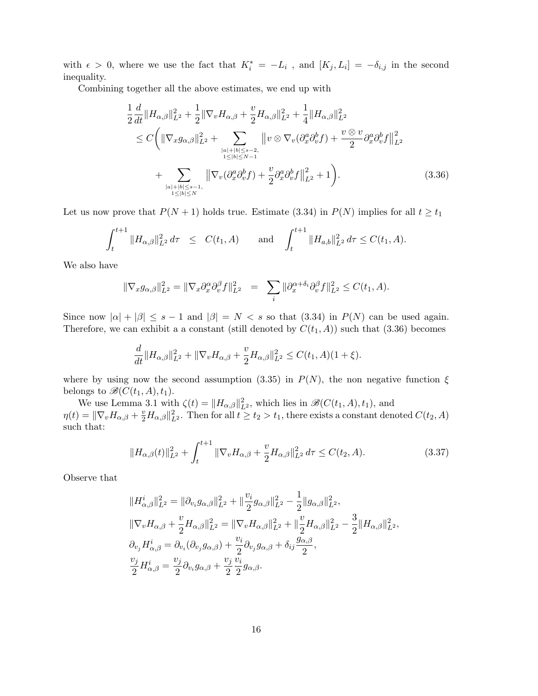with  $\epsilon > 0$ , where we use the fact that  $K_i^* = -L_i$ , and  $[K_j, L_i] = -\delta_{i,j}$  in the second inequality.

Combining together all the above estimates, we end up with

$$
\frac{1}{2}\frac{d}{dt}\|H_{\alpha,\beta}\|_{L^{2}}^{2} + \frac{1}{2}\|\nabla_{v}H_{\alpha,\beta} + \frac{v}{2}H_{\alpha,\beta}\|_{L^{2}}^{2} + \frac{1}{4}\|H_{\alpha,\beta}\|_{L^{2}}^{2} \n\leq C\left(\|\nabla_{x}g_{\alpha,\beta}\|_{L^{2}}^{2} + \sum_{\substack{|a|+|b| \leq s-2, \atop 1 \leq |b| \leq N-1}}\|v \otimes \nabla_{v}(\partial_{x}^{\alpha}\partial_{v}^{b}f) + \frac{v \otimes v}{2}\partial_{x}^{\alpha}\partial_{v}^{b}f\|_{L^{2}}^{2} + \sum_{\substack{|a|+|b| \leq s-1, \atop 1 \leq |b| \leq N}}\|\nabla_{v}(\partial_{x}^{\alpha}\partial_{v}^{b}f) + \frac{v}{2}\partial_{x}^{\alpha}\partial_{v}^{b}f\|_{L^{2}}^{2} + 1\right).
$$
\n(3.36)

Let us now prove that  $P(N + 1)$  holds true. Estimate (3.34) in  $P(N)$  implies for all  $t \ge t_1$ 

$$
\int_{t}^{t+1} \|H_{\alpha,\beta}\|_{L^{2}}^{2} d\tau \leq C(t_{1}, A) \quad \text{and} \quad \int_{t}^{t+1} \|H_{a,b}\|_{L^{2}}^{2} d\tau \leq C(t_{1}, A).
$$

We also have

$$
\|\nabla_x g_{\alpha,\beta}\|_{L^2}^2 = \|\nabla_x \partial_x^{\alpha} \partial_v^{\beta} f\|_{L^2}^2 = \sum_i \|\partial_x^{\alpha+\delta_i} \partial_v^{\beta} f\|_{L^2}^2 \leq C(t_1, A).
$$

Since now  $|\alpha| + |\beta| \leq s - 1$  and  $|\beta| = N < s$  so that (3.34) in  $P(N)$  can be used again. Therefore, we can exhibit a a constant (still denoted by  $C(t_1, A)$ ) such that (3.36) becomes

$$
\frac{d}{dt}||H_{\alpha,\beta}||_{L^{2}}^{2} + ||\nabla_{v}H_{\alpha,\beta} + \frac{v}{2}H_{\alpha,\beta}||_{L^{2}}^{2} \leq C(t_{1},A)(1+\xi).
$$

where by using now the second assumption (3.35) in  $P(N)$ , the non negative function  $\xi$ belongs to  $\mathcal{B}(C(t_1, A), t_1)$ .

We use Lemma 3.1 with  $\zeta(t) = ||H_{\alpha,\beta}||_{L^2}^2$ , which lies in  $\mathscr{B}(C(t_1,A), t_1)$ , and  $\eta(t) = \|\nabla_v H_{\alpha,\beta} + \frac{v}{2}H_{\alpha,\beta}\|_{L^2}^2$ . Then for all  $t \geq t_2 > t_1$ , there exists a constant denoted  $C(t_2,A)$ such that:

$$
||H_{\alpha,\beta}(t)||_{L^2}^2 + \int_t^{t+1} ||\nabla_v H_{\alpha,\beta} + \frac{v}{2} H_{\alpha,\beta}||_{L^2}^2 d\tau \le C(t_2, A). \tag{3.37}
$$

Observe that

$$
\begin{split} &\|H^i_{\alpha,\beta}\|^2_{L^2}=\|\partial_{v_i}g_{\alpha,\beta}\|^2_{L^2}+\|\frac{v_i}{2}g_{\alpha,\beta}\|^2_{L^2}-\frac{1}{2}\|g_{\alpha,\beta}\|^2_{L^2},\\ &\|\nabla_v H_{\alpha,\beta}+\frac{v}{2}H_{\alpha,\beta}\|^2_{L^2}=\|\nabla_v H_{\alpha,\beta}\|^2_{L^2}+\|\frac{v}{2}H_{\alpha,\beta}\|^2_{L^2}-\frac{3}{2}\|H_{\alpha,\beta}\|^2_{L^2},\\ &\partial_{v_j}H^i_{\alpha,\beta}=\partial_{v_i}(\partial_{v_j}g_{\alpha,\beta})+\frac{v_i}{2}\partial_{v_j}g_{\alpha,\beta}+\delta_{ij}\frac{g_{\alpha,\beta}}{2},\\ &\frac{v_j}{2}H^i_{\alpha,\beta}=\frac{v_j}{2}\partial_{v_i}g_{\alpha,\beta}+\frac{v_j}{2}\frac{v_i}{2}g_{\alpha,\beta}. \end{split}
$$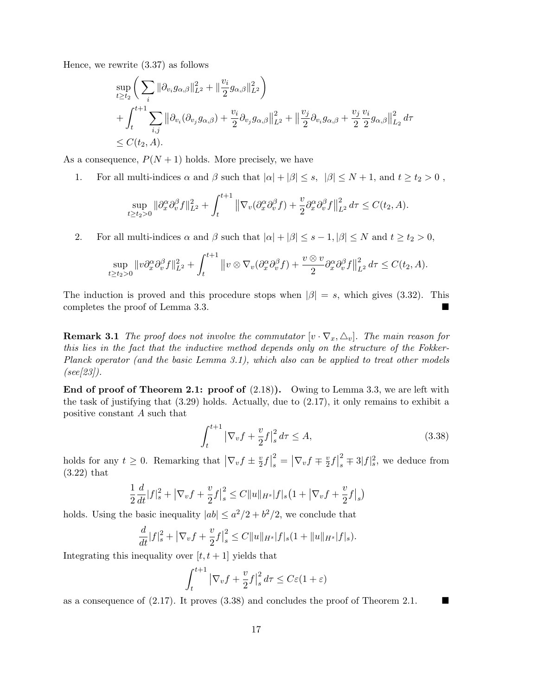Hence, we rewrite (3.37) as follows

$$
\sup_{t \ge t_2} \left( \sum_i \|\partial_{v_i} g_{\alpha,\beta}\|_{L^2}^2 + \|\frac{v_i}{2} g_{\alpha,\beta}\|_{L^2}^2 \right) + \int_t^{t+1} \sum_{i,j} \left\| \partial_{v_i} (\partial_{v_j} g_{\alpha,\beta}) + \frac{v_i}{2} \partial_{v_j} g_{\alpha,\beta} \right\|_{L^2}^2 + \left\| \frac{v_j}{2} \partial_{v_i} g_{\alpha,\beta} + \frac{v_j}{2} \frac{v_i}{2} g_{\alpha,\beta} \right\|_{L_2}^2 d\tau \le C(t_2, A).
$$

As a consequence,  $P(N + 1)$  holds. More precisely, we have

1. For all multi-indices  $\alpha$  and  $\beta$  such that  $|\alpha| + |\beta| \leq s$ ,  $|\beta| \leq N+1$ , and  $t \geq t_2 > 0$ ,

$$
\sup_{t\geq t_2>0} \|\partial_x^{\alpha}\partial_v^{\beta}f\|_{L^2}^2 + \int_t^{t+1} \left\|\nabla_v(\partial_x^{\alpha}\partial_v^{\beta}f) + \frac{v}{2}\partial_x^{\alpha}\partial_v^{\beta}f\right\|_{L^2}^2 d\tau \leq C(t_2, A).
$$

2. For all multi-indices  $\alpha$  and  $\beta$  such that  $|\alpha| + |\beta| \leq s - 1, |\beta| \leq N$  and  $t \geq t_2 > 0$ ,

$$
\sup_{t\geq t_2>0}||v\partial_x^{\alpha}\partial_v^{\beta}f||_{L^2}^2+\int_t^{t+1}||v\otimes\nabla_v(\partial_x^{\alpha}\partial_v^{\beta}f)+\frac{v\otimes v}{2}\partial_x^{\alpha}\partial_v^{\beta}f||_{L^2}^2d\tau\leq C(t_2,A).
$$

The induction is proved and this procedure stops when  $|\beta| = s$ , which gives (3.32). This completes the proof of Lemma 3.3.

**Remark 3.1** The proof does not involve the commutator  $[v \cdot \nabla_x, \Delta_v]$ . The main reason for this lies in the fact that the inductive method depends only on the structure of the Fokker-Planck operator (and the basic Lemma 3.1), which also can be applied to treat other models  $(see [23]).$ 

End of proof of Theorem 2.1: proof of  $(2.18)$ ). Owing to Lemma 3.3, we are left with the task of justifying that  $(3.29)$  holds. Actually, due to  $(2.17)$ , it only remains to exhibit a positive constant A such that

$$
\int_{t}^{t+1} \left| \nabla_{v} f + \frac{v}{2} f \right|_{s}^{2} d\tau \le A,
$$
\n(3.38)

holds for any  $t \geq 0$ . Remarking that  $|\nabla_v f \pm \frac{v}{2}|$  $\frac{v}{2}f$ 2  $\frac{2}{s} = |\nabla_v f \mp \frac{v}{2}|$  $\frac{v}{2}f$ 2  $s^2 \equiv 3|f|^2$ , we deduce from (3.22) that

$$
\frac{1}{2}\frac{d}{dt}|f|_{s}^{2} + |\nabla_{v}f + \frac{v}{2}f|_{s}^{2} \leq C||u||_{H^{s}}|f|_{s}(1 + |\nabla_{v}f + \frac{v}{2}f|_{s})
$$

holds. Using the basic inequality  $|ab| \leq a^2/2 + b^2/2$ , we conclude that

$$
\frac{d}{dt}|f|_s^2 + |\nabla_v f + \frac{v}{2}f|_s^2 \le C||u||_{H^s}|f|_s(1 + ||u||_{H^s}|f|_s).
$$

Integrating this inequality over  $[t, t + 1]$  yields that

$$
\int_{t}^{t+1} \left| \nabla_{v} f + \frac{v}{2} f \right|_{s}^{2} d\tau \leq C \varepsilon (1 + \varepsilon)
$$

as a consequence of (2.17). It proves (3.38) and concludes the proof of Theorem 2.1.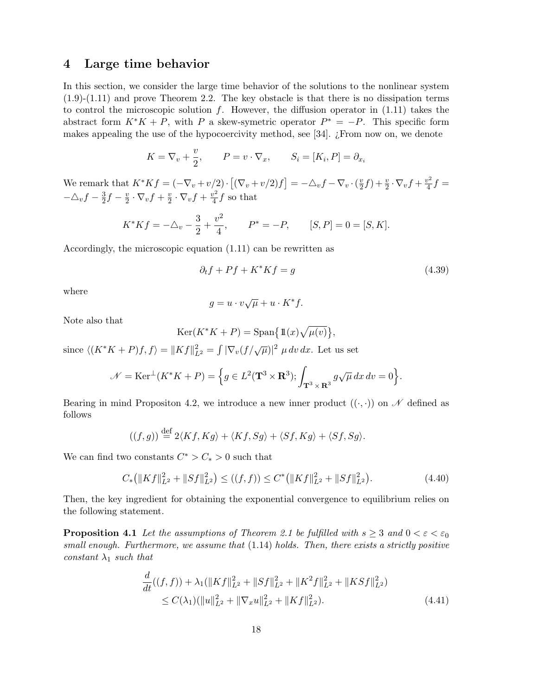### 4 Large time behavior

In this section, we consider the large time behavior of the solutions to the nonlinear system (1.9)-(1.11) and prove Theorem 2.2. The key obstacle is that there is no dissipation terms to control the microscopic solution f. However, the diffusion operator in  $(1.11)$  takes the abstract form  $K^*K + P$ , with P a skew-symetric operator  $P^* = -P$ . This specific form makes appealing the use of the hypocoercivity method, see [34].  $\chi$ From now on, we denote

$$
K = \nabla_v + \frac{v}{2}
$$
,  $P = v \cdot \nabla_x$ ,  $S_i = [K_i, P] = \partial_{x_i}$ 

We remark that  $K^*Kf = (-\nabla_v + v/2) \cdot [(\nabla_v + v/2)f] = -\Delta_v f - \nabla_v \cdot (\frac{v}{2})$  $(\frac{v}{2}f) + \frac{v}{2} \cdot \nabla_v f + \frac{v^2}{4}$  $\frac{f^2}{4}f =$  $-\triangle_v f - \frac{3}{2}$  $\frac{3}{2}f-\frac{v}{2}$  $\frac{v}{2} \cdot \nabla_v f + \frac{v}{2}$  $\frac{v}{2} \cdot \nabla_v f + \frac{v^2}{4}$  $\frac{y^2}{4}f$  so that

$$
K^*Kf = -\triangle_v - \frac{3}{2} + \frac{v^2}{4}, \qquad P^* = -P, \qquad [S, P] = 0 = [S, K].
$$

Accordingly, the microscopic equation (1.11) can be rewritten as

$$
\partial_t f + Pf + K^* K f = g \tag{4.39}
$$

where

$$
g = u \cdot v \sqrt{\mu} + u \cdot K^* f.
$$

Note also that

$$
Ker(K^*K + P) = Span{1\!\!\!\!1(x)\sqrt{\mu(v)}}\},\
$$

since  $\langle (K^*K + P)f, f \rangle = ||Kf||_{L^2}^2 = \int |\nabla_v(f/\sqrt{\mu})|^2 \mu dv dx$ . Let us set

$$
\mathcal{N} = \text{Ker}^{\perp}(K^*K + P) = \left\{ g \in L^2(\mathbf{T}^3 \times \mathbf{R}^3); \int_{\mathbf{T}^3 \times \mathbf{R}^3} g \sqrt{\mu} \, dx \, dv = 0 \right\}.
$$

Bearing in mind Propositon 4.2, we introduce a new inner product  $((\cdot, \cdot))$  on N defined as follows

$$
((f,g)) \stackrel{\text{def}}{=} 2\langle Kf, Kg \rangle + \langle Kf, Sg \rangle + \langle Sf, Kg \rangle + \langle Sf, Sg \rangle.
$$

We can find two constants  $C^* > C_* > 0$  such that

$$
C_*\left(\|Kf\|_{L^2}^2 + \|Sf\|_{L^2}^2\right) \le \left((f,f)\right) \le C^*\left(\|Kf\|_{L^2}^2 + \|Sf\|_{L^2}^2\right). \tag{4.40}
$$

Then, the key ingredient for obtaining the exponential convergence to equilibrium relies on the following statement.

**Proposition 4.1** Let the assumptions of Theorem 2.1 be fulfilled with  $s \geq 3$  and  $0 < \varepsilon < \varepsilon_0$ small enough. Furthermore, we assume that  $(1.14)$  holds. Then, there exists a strictly positive constant  $\lambda_1$  such that

$$
\frac{d}{dt}((f,f)) + \lambda_1(\|Kf\|_{L^2}^2 + \|Sf\|_{L^2}^2 + \|K^2f\|_{L^2}^2 + \|KSf\|_{L^2}^2)
$$
\n
$$
\leq C(\lambda_1)(\|u\|_{L^2}^2 + \|\nabla_x u\|_{L^2}^2 + \|Kf\|_{L^2}^2). \tag{4.41}
$$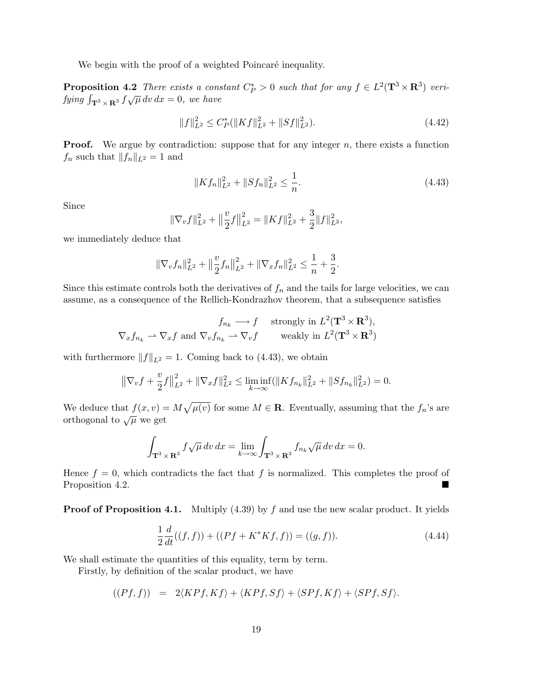We begin with the proof of a weighted Poincaré inequality.

**Proposition 4.2** There exists a constant  $C_P^* > 0$  such that for any  $f \in L^2(\mathbf{T}^3 \times \mathbf{R}^3)$  verifying  $\int_{\mathbf{T}^3 \times \mathbf{R}^3} f \sqrt{\mu} dv dx = 0$ , we have

$$
||f||_{L^{2}}^{2} \leq C_{P}^{*} (||Kf||_{L^{2}}^{2} + ||Sf||_{L^{2}}^{2}).
$$
\n(4.42)

**Proof.** We argue by contradiction: suppose that for any integer  $n$ , there exists a function  $f_n$  such that  $||f_n||_{L^2} = 1$  and

$$
||Kf_n||_{L^2}^2 + ||Sf_n||_{L^2}^2 \le \frac{1}{n}.\tag{4.43}
$$

Since

$$
\|\nabla_v f\|_{L^2}^2 + \left\|\frac{v}{2}f\right\|_{L^2}^2 = \|Kf\|_{L^2}^2 + \frac{3}{2}\|f\|_{L^2}^2,
$$

we immediately deduce that

$$
\|\nabla_v f_n\|_{L^2}^2 + \left\|\frac{v}{2} f_n\right\|_{L^2}^2 + \|\nabla_x f_n\|_{L^2}^2 \le \frac{1}{n} + \frac{3}{2}.
$$

Since this estimate controls both the derivatives of  $f_n$  and the tails for large velocities, we can assume, as a consequence of the Rellich-Kondrazhov theorem, that a subsequence satisfies

$$
f_{n_k} \longrightarrow f \quad \text{ strongly in } L^2(\mathbf{T}^3 \times \mathbf{R}^3),
$$
  

$$
\nabla_x f_{n_k} \rightharpoonup \nabla_x f \text{ and } \nabla_v f_{n_k} \rightharpoonup \nabla_v f \quad \text{weakly in } L^2(\mathbf{T}^3 \times \mathbf{R}^3)
$$

with furthermore  $||f||_{L^2} = 1$ . Coming back to (4.43), we obtain

$$
\|\nabla_v f + \frac{v}{2} f\|_{L^2}^2 + \|\nabla_x f\|_{L^2}^2 \le \liminf_{k \to \infty} (\|Kf_{n_k}\|_{L^2}^2 + \|Sf_{n_k}\|_{L^2}^2) = 0.
$$

We deduce that  $f(x, v) = M\sqrt{\mu(v)}$  for some  $M \in \mathbf{R}$ . Eventually, assuming that the  $f_n$ 's are orthogonal to  $\sqrt{\mu}$  we get

$$
\int_{\mathbf{T}^3 \times \mathbf{R}^3} f \sqrt{\mu} \, dv \, dx = \lim_{k \to \infty} \int_{\mathbf{T}^3 \times \mathbf{R}^3} f_{n_k} \sqrt{\mu} \, dv \, dx = 0.
$$

Hence  $f = 0$ , which contradicts the fact that f is normalized. This completes the proof of Proposition 4.2.

**Proof of Proposition 4.1.** Multiply  $(4.39)$  by f and use the new scalar product. It yields

$$
\frac{1}{2}\frac{d}{dt}((f,f)) + ((Pf + K^*Kf, f)) = ((g,f)).
$$
\n(4.44)

We shall estimate the quantities of this equality, term by term.

Firstly, by definition of the scalar product, we have

$$
((Pf,f)) = 2\langle KPf,Kf\rangle + \langle KPf,Sf\rangle + \langle SPf,Kf\rangle + \langle SPf,Sf\rangle.
$$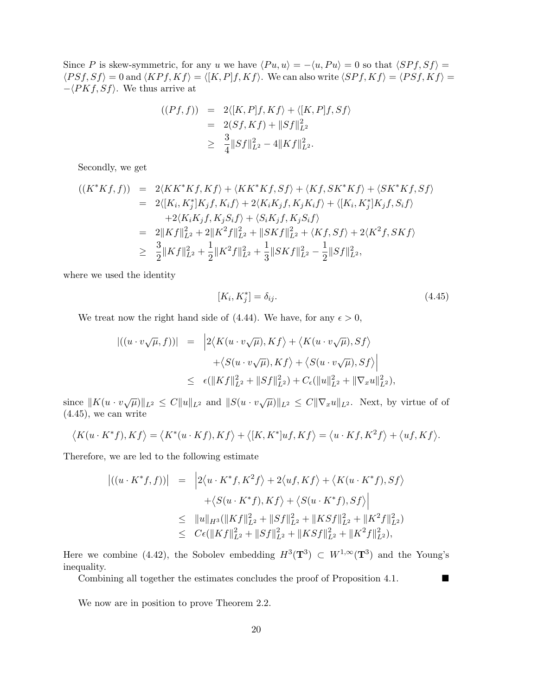Since P is skew-symmetric, for any u we have  $\langle Pu, u \rangle = -\langle u, Pu \rangle = 0$  so that  $\langle SPf, Sf \rangle =$  $\langle P S f, S f \rangle = 0$  and  $\langle K P f, K f \rangle = \langle [K, P] f, K f \rangle$ . We can also write  $\langle S P f, K f \rangle = \langle P S f, K f \rangle =$  $-\langle PKf, Sf \rangle$ . We thus arrive at

$$
((Pf, f)) = 2\langle [K, P]f, Kf \rangle + \langle [K, P]f, Sf \rangle
$$
  
= 2(Sf, Kf) + ||Sf||<sub>L<sup>2</sup></sub>  

$$
\geq \frac{3}{4} ||Sf||_{L2}^{2} - 4||Kf||_{L2}^{2}.
$$

Secondly, we get

$$
((K^*Kf, f)) = 2\langle KK^*Kf, Kf \rangle + \langle KK^*Kf, Sf \rangle + \langle Kf, SK^*Kf \rangle + \langle SK^*Kf, Sf \rangle
$$
  
\n
$$
= 2\langle [K_i, K_j^*]K_jf, K_i f \rangle + 2\langle K_iK_jf, K_jK_if \rangle + \langle [K_i, K_j^*]K_jf, S_if \rangle
$$
  
\n
$$
+ 2\langle K_iK_jf, K_jS_if \rangle + \langle S_iK_jf, K_jS_if \rangle
$$
  
\n
$$
= 2\|Kf\|_{L^2}^2 + 2\|K^2f\|_{L^2}^2 + \|SKf\|_{L^2}^2 + \langle Kf, Sf \rangle + 2\langle K^2f, SKf \rangle
$$
  
\n
$$
\geq \frac{3}{2}\|Kf\|_{L^2}^2 + \frac{1}{2}\|K^2f\|_{L^2}^2 + \frac{1}{3}\|SKf\|_{L^2}^2 - \frac{1}{2}\|Sf\|_{L^2}^2,
$$

where we used the identity

$$
[K_i, K_j^*] = \delta_{ij}.\tag{4.45}
$$

We treat now the right hand side of (4.44). We have, for any  $\epsilon > 0$ ,

$$
\begin{array}{lcl} \displaystyle \left| \left( (u \cdot v \sqrt{\mu}, f) \right) \right| & = & \displaystyle \left| 2 \big\langle K(u \cdot v \sqrt{\mu}), Kf \big\rangle + \big\langle K(u \cdot v \sqrt{\mu}), Sf \big\rangle \right. \\ & & \left. \left. \qquad \qquad + \big\langle S(u \cdot v \sqrt{\mu}), Kf \big\rangle + \big\langle S(u \cdot v \sqrt{\mu}), Sf \big\rangle \right| \\ & \leq & \displaystyle \epsilon(\|Kf\|_{L^2}^2 + \|Sf\|_{L^2}^2) + C_{\epsilon}(\|u\|_{L^2}^2 + \|\nabla_x u\|_{L^2}^2), \end{array}
$$

since  $||K(u \cdot v\sqrt{\mu})||_{L^2} \leq C||u||_{L^2}$  and  $||S(u \cdot v\sqrt{\mu})||_{L^2} \leq C||\nabla_x u||_{L^2}$ . Next, by virtue of of  $(4.45)$ , we can write

$$
\langle K(u \cdot K^* f), K f \rangle = \langle K^*(u \cdot K f), K f \rangle + \langle [K, K^*] u f, K f \rangle = \langle u \cdot K f, K^2 f \rangle + \langle u f, K f \rangle.
$$

Therefore, we are led to the following estimate

$$
\begin{array}{rcl} \left| \left( (u \cdot K^* f, f) \right) \right| & = & \left| 2 \langle u \cdot K^* f, K^2 f \rangle + 2 \langle u f, K f \rangle + \langle K (u \cdot K^* f), S f \rangle \right. \\ & & \left. + \langle S (u \cdot K^* f), K f \rangle + \langle S (u \cdot K^* f), S f \rangle \right| \\ & \leq & \left| |u|_{H^3} (\| K f \|_{L^2}^2 + \| S f \|_{L^2}^2 + \| K S f \|_{L^2}^2 + \| K^2 f \|_{L^2}^2) \right. \\ & & \leq & C \epsilon (\| K f \|_{L^2}^2 + \| S f \|_{L^2}^2 + \| K S f \|_{L^2}^2 + \| K^2 f \|_{L^2}^2), \end{array}
$$

Here we combine (4.42), the Sobolev embedding  $H^3(\mathbf{T}^3) \subset W^{1,\infty}(\mathbf{T}^3)$  and the Young's inequality.

Combining all together the estimates concludes the proof of Proposition 4.1.  $\blacksquare$ 

We now are in position to prove Theorem 2.2.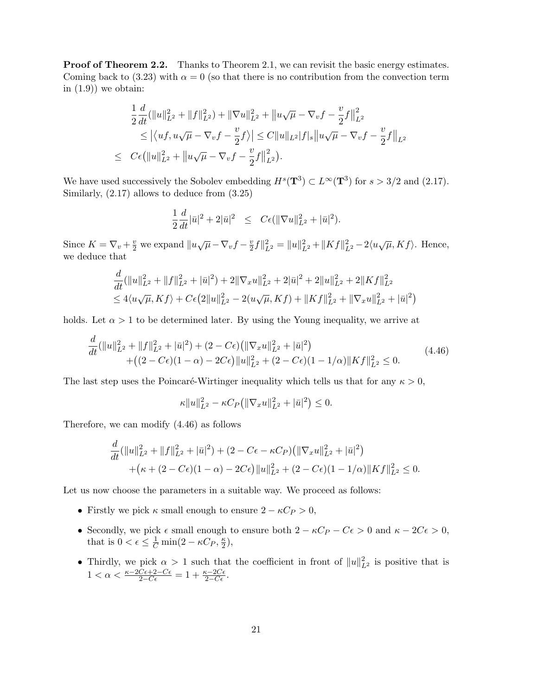**Proof of Theorem 2.2.** Thanks to Theorem 2.1, we can revisit the basic energy estimates. Coming back to (3.23) with  $\alpha = 0$  (so that there is no contribution from the convection term in  $(1.9)$  we obtain:

$$
\frac{1}{2}\frac{d}{dt}(\|u\|_{L^2}^2 + \|f\|_{L^2}^2) + \|\nabla u\|_{L^2}^2 + \|u\sqrt{\mu} - \nabla_v f - \frac{v}{2}f\|_{L^2}^2
$$
\n
$$
\leq |\langle uf, u\sqrt{\mu} - \nabla_v f - \frac{v}{2}f\rangle| \leq C\|u\|_{L^2} |f|_s \|u\sqrt{\mu} - \nabla_v f - \frac{v}{2}f\|_{L^2}
$$
\n
$$
\leq C\epsilon (\|u\|_{L^2}^2 + \|u\sqrt{\mu} - \nabla_v f - \frac{v}{2}f\|_{L^2}^2).
$$

We have used successively the Sobolev embedding  $H^s(\mathbf{T}^3) \subset L^\infty(\mathbf{T}^3)$  for  $s > 3/2$  and (2.17). Similarly, (2.17) allows to deduce from (3.25)

$$
\frac{1}{2}\frac{d}{dt}|\bar{u}|^2 + 2|\bar{u}|^2 \leq C\epsilon(||\nabla u||^2_{L^2} + |\bar{u}|^2).
$$

Since  $K = \nabla_v + \frac{v}{2}$  we expand  $||u\sqrt{\mu} - \nabla_v f - \frac{v}{2}$  $\frac{v}{2}f\|_{L^2}^2 = \|u\|_{L^2}^2 + \|Kf\|_{L^2}^2 - 2\langle u\sqrt{\mu}, Kf\rangle$ . Hence, we deduce that

$$
\frac{d}{dt}(\|u\|_{L^2}^2 + \|f\|_{L^2}^2 + |\bar{u}|^2) + 2\|\nabla_x u\|_{L^2}^2 + 2|\bar{u}|^2 + 2\|u\|_{L^2}^2 + 2\|Kf\|_{L^2}^2
$$
\n
$$
\leq 4\langle u\sqrt{\mu}, Kf\rangle + C\epsilon\left(2\|u\|_{L^2}^2 - 2(u\sqrt{\mu}, Kf) + \|Kf\|_{L^2}^2 + \|\nabla_x u\|_{L^2}^2 + |\bar{u}|^2\right)
$$

holds. Let  $\alpha > 1$  to be determined later. By using the Young inequality, we arrive at

$$
\frac{d}{dt}(\|u\|_{L^2}^2 + \|f\|_{L^2}^2 + |\bar{u}|^2) + (2 - C\epsilon)(\|\nabla_x u\|_{L^2}^2 + |\bar{u}|^2) + ((2 - C\epsilon)(1 - \alpha) - 2C\epsilon)\|u\|_{L^2}^2 + (2 - C\epsilon)(1 - 1/\alpha)\|Kf\|_{L^2}^2 \le 0.
$$
\n(4.46)

The last step uses the Poincaré-Wirtinger inequality which tells us that for any  $\kappa > 0$ ,

$$
\kappa ||u||_{L^2}^2 - \kappa C_P (||\nabla_x u||_{L^2}^2 + |\bar{u}|^2) \leq 0.
$$

Therefore, we can modify (4.46) as follows

$$
\frac{d}{dt}(\|u\|_{L^2}^2 + \|f\|_{L^2}^2 + |\bar{u}|^2) + (2 - C\epsilon - \kappa C_P)(\|\nabla_x u\|_{L^2}^2 + |\bar{u}|^2) \n+ (\kappa + (2 - C\epsilon)(1 - \alpha) - 2C\epsilon) \|u\|_{L^2}^2 + (2 - C\epsilon)(1 - 1/\alpha) \|Kf\|_{L^2}^2 \le 0.
$$

Let us now choose the parameters in a suitable way. We proceed as follows:

- Firstly we pick  $\kappa$  small enough to ensure  $2 \kappa C_P > 0$ ,
- Secondly, we pick  $\epsilon$  small enough to ensure both  $2 \kappa C_P C\epsilon > 0$  and  $\kappa 2C\epsilon > 0$ , that is  $0 < \epsilon \leq \frac{1}{C} \min(2 - \kappa C_P, \frac{\kappa}{2})$  $\frac{\kappa}{2}$ ),
- Thirdly, we pick  $\alpha > 1$  such that the coefficient in front of  $||u||_{L^2}^2$  is positive that is  $1 < \alpha < \frac{\kappa - 2C\epsilon + 2 - C\epsilon}{2 - C\epsilon} = 1 + \frac{\kappa - 2C\epsilon}{2 - C\epsilon}.$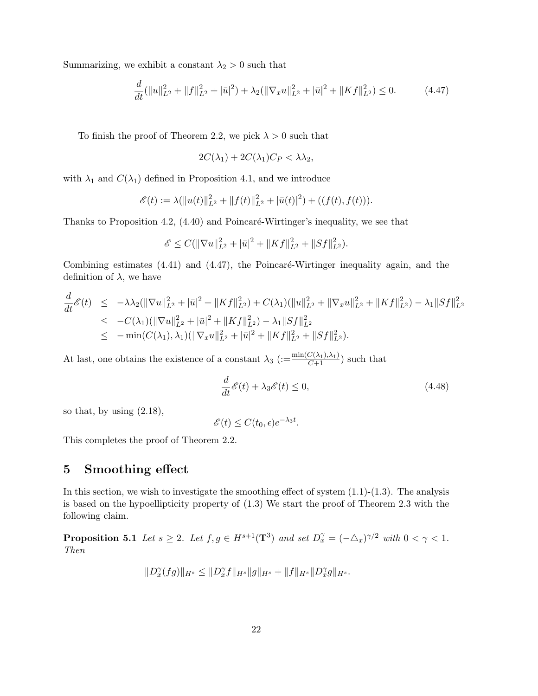Summarizing, we exhibit a constant  $\lambda_2 > 0$  such that

$$
\frac{d}{dt}(\|u\|_{L^2}^2 + \|f\|_{L^2}^2 + |\bar{u}|^2) + \lambda_2(\|\nabla_x u\|_{L^2}^2 + |\bar{u}|^2 + \|Kf\|_{L^2}^2) \le 0.
$$
\n(4.47)

To finish the proof of Theorem 2.2, we pick  $\lambda > 0$  such that

$$
2C(\lambda_1) + 2C(\lambda_1)C_P < \lambda\lambda_2,
$$

with  $\lambda_1$  and  $C(\lambda_1)$  defined in Proposition 4.1, and we introduce

$$
\mathscr{E}(t) := \lambda(||u(t)||_{L^2}^2 + ||f(t)||_{L^2}^2 + |\bar{u}(t)|^2) + ((f(t), f(t))).
$$

Thanks to Proposition 4.2,  $(4.40)$  and Poincaré-Wirtinger's inequality, we see that

$$
\mathscr{E} \leq C(||\nabla u||_{L^2}^2 + |\bar{u}|^2 + ||Kf||_{L^2}^2 + ||Sf||_{L^2}^2).
$$

Combining estimates  $(4.41)$  and  $(4.47)$ , the Poincaré-Wirtinger inequality again, and the definition of  $\lambda$ , we have

$$
\frac{d}{dt}\mathscr{E}(t) \leq -\lambda\lambda_2(\|\nabla u\|_{L^2}^2 + |\bar{u}|^2 + \|Kf\|_{L^2}^2) + C(\lambda_1)(\|u\|_{L^2}^2 + \|\nabla_x u\|_{L^2}^2 + \|Kf\|_{L^2}^2) - \lambda_1\|Sf\|_{L^2}^2 \leq -C(\lambda_1)(\|\nabla u\|_{L^2}^2 + |\bar{u}|^2 + \|Kf\|_{L^2}^2) - \lambda_1\|Sf\|_{L^2}^2 \leq -\min(C(\lambda_1), \lambda_1)(\|\nabla_x u\|_{L^2}^2 + |\bar{u}|^2 + \|Kf\|_{L^2}^2 + \|Sf\|_{L^2}^2).
$$

At last, one obtains the existence of a constant  $\lambda_3 := \frac{\min(C(\lambda_1), \lambda_1)}{C+1}$  such that

$$
\frac{d}{dt}\mathcal{E}(t) + \lambda_3 \mathcal{E}(t) \le 0,
$$
\n(4.48)

so that, by using (2.18),

$$
\mathscr{E}(t) \le C(t_0, \epsilon) e^{-\lambda_3 t}.
$$

This completes the proof of Theorem 2.2.

## 5 Smoothing effect

In this section, we wish to investigate the smoothing effect of system  $(1.1)-(1.3)$ . The analysis is based on the hypoellipticity property of (1.3) We start the proof of Theorem 2.3 with the following claim.

**Proposition 5.1** Let  $s \geq 2$ . Let  $f, g \in H^{s+1}(\mathbf{T}^3)$  and set  $D_x^{\gamma} = (-\Delta_x)^{\gamma/2}$  with  $0 < \gamma < 1$ . Then

$$
||D_x^{\gamma}(fg)||_{H^s}\leq ||D_x^{\gamma}f||_{H^s}||g||_{H^s}+||f||_{H^s}||D_x^{\gamma}g||_{H^s}.
$$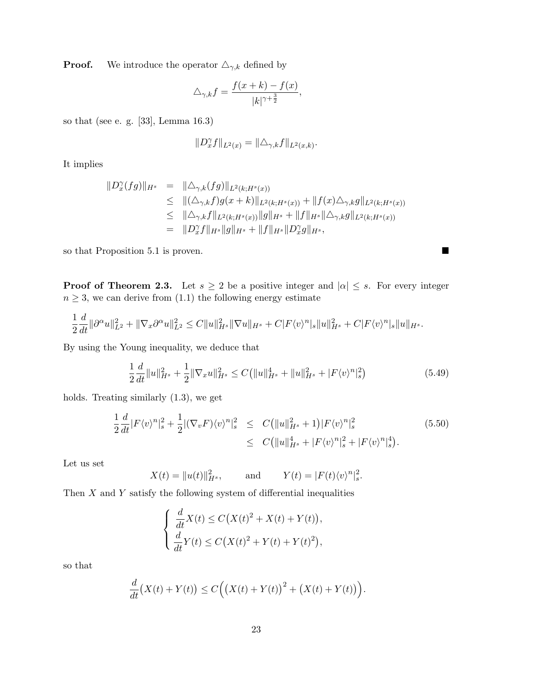**Proof.** We introduce the operator  $\Delta_{\gamma,k}$  defined by

$$
\triangle_{\gamma,k} f = \frac{f(x+k) - f(x)}{|k|^{\gamma + \frac{3}{2}}},
$$

so that (see e. g. [33], Lemma 16.3)

$$
||D_x^{\gamma}f||_{L^2(x)} = ||\triangle_{\gamma,k}f||_{L^2(x,k)}.
$$

It implies

$$
\|D_x^{\gamma}(fg)\|_{H^s} = \|\Delta_{\gamma,k}(fg)\|_{L^2(k;H^s(x))}
$$
  
\n
$$
\leq \|(\Delta_{\gamma,k}f)g(x+k)\|_{L^2(k;H^s(x))} + \|f(x)\Delta_{\gamma,k}g\|_{L^2(k;H^s(x))}
$$
  
\n
$$
\leq \|\Delta_{\gamma,k}f\|_{L^2(k;H^s(x))}\|g\|_{H^s} + \|f\|_{H^s}\|\Delta_{\gamma,k}g\|_{L^2(k;H^s(x))}
$$
  
\n
$$
= \|D_x^{\gamma}f\|_{H^s}\|g\|_{H^s} + \|f\|_{H^s}\|D_x^{\gamma}g\|_{H^s},
$$

so that Proposition 5.1 is proven.

**Proof of Theorem 2.3.** Let  $s \geq 2$  be a positive integer and  $|\alpha| \leq s$ . For every integer  $n\geq 3,$  we can derive from (1.1) the following energy estimate

$$
\frac{1}{2}\frac{d}{dt}\|\partial^{\alpha}u\|_{L^{2}}^{2}+\|\nabla_{x}\partial^{\alpha}u\|_{L^{2}}^{2}\leq C\|u\|_{H^{s}}^{2}\|\nabla u\|_{H^{s}}+C|F\langle v\rangle^{n}|_{s}\|u\|_{H^{s}}^{2}+C|F\langle v\rangle^{n}|_{s}\|u\|_{H^{s}}.
$$

By using the Young inequality, we deduce that

$$
\frac{1}{2}\frac{d}{dt}\|u\|_{H^s}^2 + \frac{1}{2}\|\nabla_x u\|_{H^s}^2 \le C\left(\|u\|_{H^s}^4 + \|u\|_{H^s}^2 + |F\langle v\rangle^n\|_{s}^2\right) \tag{5.49}
$$

holds. Treating similarly (1.3), we get

$$
\frac{1}{2}\frac{d}{dt}|F\langle v\rangle^{n}|_{s}^{2} + \frac{1}{2}|(\nabla_{v}F)\langle v\rangle^{n}|_{s}^{2} \leq C(||u||_{H^{s}}^{2} + 1)|F\langle v\rangle^{n}|_{s}^{2} \leq C(||u||_{H^{s}}^{4} + |F\langle v\rangle^{n}|_{s}^{2} + |F\langle v\rangle^{n}|_{s}^{4}).
$$
\n(5.50)

Let us set

$$
X(t) = ||u(t)||_{H^s}^2
$$
, and  $Y(t) = |F(t)\langle v \rangle^n|_s^2$ .

Then  $X$  and  $Y$  satisfy the following system of differential inequalities

$$
\begin{cases}\n\frac{d}{dt}X(t) \le C(X(t)^2 + X(t) + Y(t)),\\ \n\frac{d}{dt}Y(t) \le C(X(t)^2 + Y(t) + Y(t)^2),\n\end{cases}
$$

so that

$$
\frac{d}{dt}\big(X(t)+Y(t)\big)\leq C\Big(\big(X(t)+Y(t)\big)^2+\big(X(t)+Y(t)\big)\Big).
$$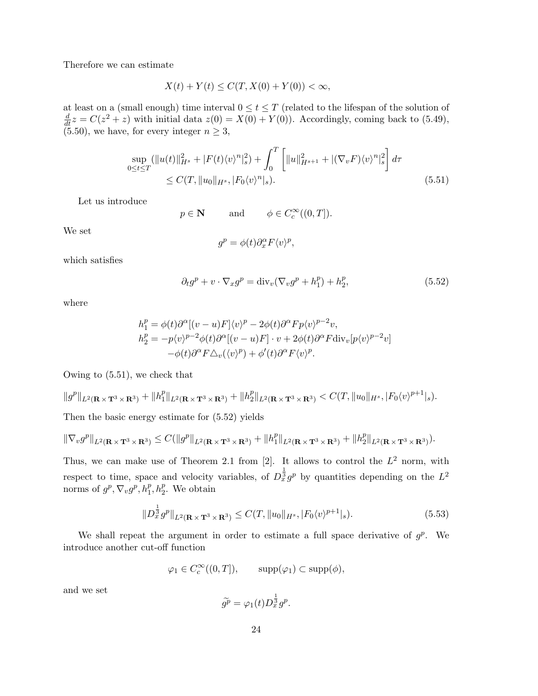Therefore we can estimate

$$
X(t) + Y(t) \le C(T, X(0) + Y(0)) < \infty,
$$

at least on a (small enough) time interval  $0 \le t \le T$  (related to the lifespan of the solution of  $\frac{d}{dt}z = C(z^2 + z)$  with initial data  $z(0) = X(0) + Y(0)$ . Accordingly, coming back to (5.49),  $(5.50)$ , we have, for every integer  $n \geq 3$ ,

$$
\sup_{0 \le t \le T} (\|u(t)\|_{H^s}^2 + |F(t)\langle v \rangle^n|_s^2) + \int_0^T \left[ \|u\|_{H^{s+1}}^2 + |(\nabla_v F)\langle v \rangle^n|_s^2 \right] d\tau
$$
  
\n
$$
\le C(T, \|u_0\|_{H^s}, |F_0\langle v \rangle^n|_s). \tag{5.51}
$$

Let us introduce

$$
p \in \mathbb{N}
$$
 and  $\phi \in C_c^{\infty}((0, T]).$ 

We set

$$
g^{p} = \phi(t)\partial_{x}^{\alpha}F\langle v \rangle^{p},
$$

which satisfies

$$
\partial_t g^p + v \cdot \nabla_x g^p = \text{div}_v (\nabla_v g^p + h_1^p) + h_2^p, \tag{5.52}
$$

where

$$
h_1^p = \phi(t)\partial^{\alpha}[(v-u)F]\langle v\rangle^p - 2\phi(t)\partial^{\alpha}Fp\langle v\rangle^{p-2}v,
$$
  
\n
$$
h_2^p = -p\langle v\rangle^{p-2}\phi(t)\partial^{\alpha}[(v-u)F]\cdot v + 2\phi(t)\partial^{\alpha}F\text{div}_v[p\langle v\rangle^{p-2}v]
$$
  
\n
$$
-\phi(t)\partial^{\alpha}F\triangle_v(\langle v\rangle^p) + \phi'(t)\partial^{\alpha}F\langle v\rangle^p.
$$

Owing to (5.51), we check that

$$
\|g^p\|_{L^2(\mathbf{R}\times\mathbf{T}^3\times\mathbf{R}^3)} + \|h_1^p\|_{L^2(\mathbf{R}\times\mathbf{T}^3\times\mathbf{R}^3)} + \|h_2^p\|_{L^2(\mathbf{R}\times\mathbf{T}^3\times\mathbf{R}^3)} < C(T, \|u_0\|_{H^s}, |F_0\langle v\rangle^{p+1}|_s).
$$

Then the basic energy estimate for (5.52) yields

$$
\|\nabla_v g^p\|_{L^2(\mathbf{R}\times\mathbf{T}^3\times\mathbf{R}^3)} \leq C(\|g^p\|_{L^2(\mathbf{R}\times\mathbf{T}^3\times\mathbf{R}^3)} + \|h_1^p\|_{L^2(\mathbf{R}\times\mathbf{T}^3\times\mathbf{R}^3)} + \|h_2^p\|_{L^2(\mathbf{R}\times\mathbf{T}^3\times\mathbf{R}^3)}).
$$

Thus, we can make use of Theorem 2.1 from [2]. It allows to control the  $L^2$  norm, with respect to time, space and velocity variables, of  $D_x^{\frac{1}{2}}g^p$  by quantities depending on the  $L^2$ norms of  $g^p, \nabla_v g^p, h_1^p, h_2^p$ . We obtain

$$
||D_x^{\frac{1}{3}}g^p||_{L^2(\mathbf{R}\times\mathbf{T}^3\times\mathbf{R}^3)} \le C(T, ||u_0||_{H^s}, |F_0\langle v\rangle^{p+1}|_s). \tag{5.53}
$$

We shall repeat the argument in order to estimate a full space derivative of  $g^p$ . We introduce another cut-off function

$$
\varphi_1 \in C_c^{\infty}((0, T]), \qquad \text{supp}(\varphi_1) \subset \text{supp}(\phi),
$$

and we set

$$
\widetilde{g^p} = \varphi_1(t) D_x^{\frac{1}{3}} g^p.
$$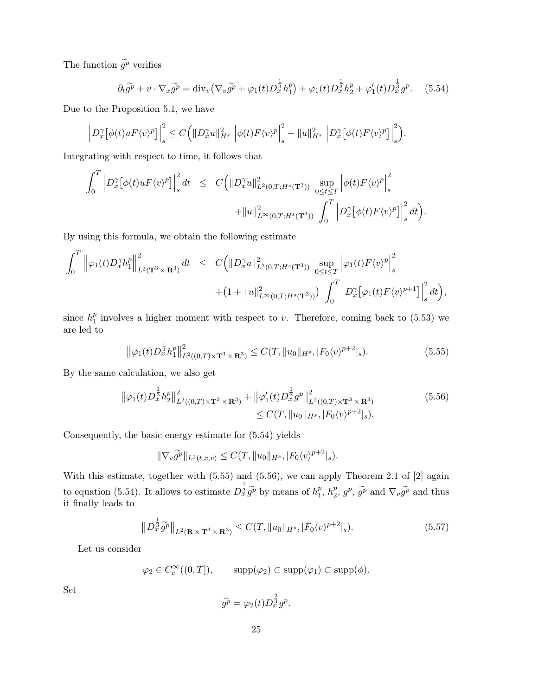The function  $\widetilde{g}^p$  verifies

$$
\partial_t \widetilde{g}^p + v \cdot \nabla_x \widetilde{g}^p = \text{div}_v \left( \nabla_v \widetilde{g}^p + \varphi_1(t) D_x^{\frac{1}{3}} h_1^p \right) + \varphi_1(t) D_x^{\frac{1}{3}} h_2^p + \varphi_1'(t) D_x^{\frac{1}{3}} g^p. \tag{5.54}
$$

Due to the Proposition 5.1, we have

$$
\Big|D_x^{\gamma}\big[\phi(t)uF\langle v\rangle^p\big]\Big|_s^2\leq C\Big(\|D_x^{\gamma}u\|_{H^s}^2\ \Big|\phi(t)F\langle v\rangle^p\Big|_s^2+\|u\|_{H^s}^2\ \Big|D_x^{\gamma}\big[\phi(t)F\langle v\rangle^p\big]\Big|_s^2\Big).
$$

Integrating with respect to time, it follows that

$$
\int_0^T \left| D_x^{\gamma} [\phi(t) u F \langle v \rangle^p] \right|_s^2 dt \leq C \Big( \| D_x^{\gamma} u \|_{L^2(0,T;H^s(\mathbf{T}^3))}^2 \sup_{0 \leq t \leq T} \left| \phi(t) F \langle v \rangle^p \right|_s^2 + \| u \|_{L^{\infty}(0,T;H^s(\mathbf{T}^3))}^2 \int_0^T \left| D_x^{\gamma} [\phi(t) F \langle v \rangle^p] \right|_s^2 dt \Big).
$$

By using this formula, we obtain the following estimate

$$
\int_0^T \left\| \varphi_1(t) D_x^{\gamma} h_1^p \right\|_{L^2(\mathbf{T}^3 \times \mathbf{R}^3)}^2 dt \leq C \Big( \| D_x^{\gamma} u \|_{L^2(0,T;H^s(\mathbf{T}^3))}^2 \sup_{0 \leq t \leq T} \left| \varphi_1(t) F \langle v \rangle^p \right|_s^2 + (1 + \| u \|_{L^{\infty}(0,T;H^s(\mathbf{T}^3))}^2) \int_0^T \left| D_x^{\gamma} [\varphi_1(t) F \langle v \rangle^{p+1}] \right|_s^2 dt \Big),
$$

since  $h_1^p$  $_1^p$  involves a higher moment with respect to v. Therefore, coming back to (5.53) we are led to

$$
\left\|\varphi_1(t)D_x^{\frac{1}{3}}h_1^p\right\|_{L^2((0,T)\times\mathbf{T}^3\times\mathbf{R}^3)}^2 \le C(T, \|u_0\|_{H^s}, |F_0\langle v\rangle^{p+2}|_s). \tag{5.55}
$$

By the same calculation, we also get

$$
\|\varphi_1(t)D_x^{\frac{1}{3}}h_2^p\|_{L^2((0,T)\times\mathbf{T}^3\times\mathbf{R}^3)}^2 + \|\varphi_1'(t)D_x^{\frac{1}{3}}g^p\|_{L^2((0,T)\times\mathbf{T}^3\times\mathbf{R}^3)}^2
$$
\n
$$
\leq C(T, \|u_0\|_{H^s}, |F_0\langle v\rangle^{p+2}|_s). \tag{5.56}
$$

Consequently, the basic energy estimate for (5.54) yields

$$
\|\nabla_v \widetilde{g^p}\|_{L^2(t,x,v)} \leq C(T, \|u_0\|_{H^s}, |F_0\langle v\rangle^{p+2}|_s).
$$

With this estimate, together with  $(5.55)$  and  $(5.56)$ , we can apply Theorem 2.1 of [2] again to equation (5.54). It allows to estimate  $D_x^{\frac{1}{3}}\widetilde{g}^p$  by means of  $h_1^p$  $_{1}^{p}$ ,  $h_{2}^{p}$  $_2^p$ ,  $g^p$ ,  $\widetilde{g^p}$  and  $\nabla_v \widetilde{g^p}$  and thus it finally leads to

$$
\left\| D_x^{\frac{1}{3}} \widetilde{g}^p \right\|_{L^2(\mathbf{R} \times \mathbf{T}^3 \times \mathbf{R}^3)} \le C(T, \|u_0\|_{H^s}, |F_0\langle v\rangle^{p+2}|_s). \tag{5.57}
$$

Let us consider

$$
\varphi_2 \in C_c^{\infty}((0,T]), \quad \text{supp}(\varphi_2) \subset \text{supp}(\varphi_1) \subset \text{supp}(\phi).
$$

Set

$$
\widehat{g^p} = \varphi_2(t) D_x^{\frac{2}{3}} g^p.
$$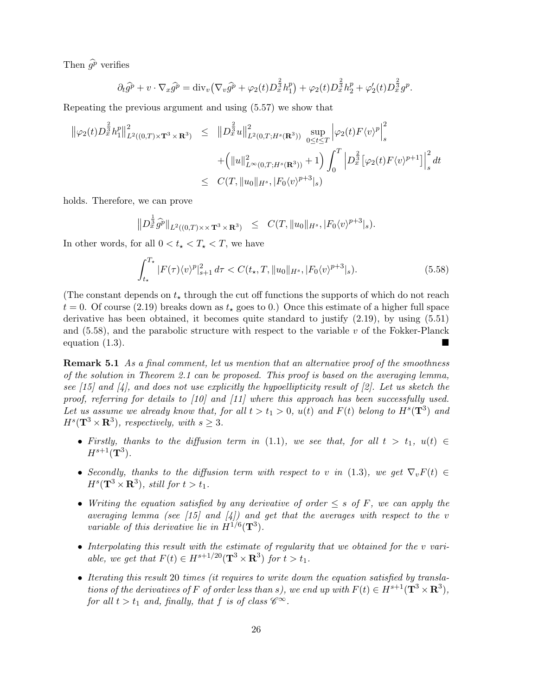Then  $\widehat{q}^p$  verifies

$$
\partial_t \widehat{g}^p + v \cdot \nabla_x \widehat{g}^p = \text{div}_v \left( \nabla_v \widehat{g}^p + \varphi_2(t) D_x^{\frac{2}{3}} h_1^p \right) + \varphi_2(t) D_x^{\frac{2}{3}} h_2^p + \varphi_2'(t) D_x^{\frac{2}{3}} g^p.
$$

Repeating the previous argument and using (5.57) we show that

$$
\|\varphi_2(t)D_x^{\frac{2}{3}}h_1^p\|_{L^2((0,T)\times\mathbf{T}^3\times\mathbf{R}^3)}^2 \leq \|D_x^{\frac{2}{3}}u\|_{L^2(0,T;H^s(\mathbf{R}^3))}^2 \sup_{0\leq t\leq T} |\varphi_2(t)F\langle v\rangle^p\Big|_s^2 + (||u||_{L^\infty(0,T;H^s(\mathbf{R}^3))}^2+1) \int_0^T |D_x^{\frac{2}{3}}[\varphi_2(t)F\langle v\rangle^{p+1}] \Big|_s^2 dt \leq C(T, ||u_0||_{H^s}, |F_0\langle v\rangle^{p+3}|_s)
$$

holds. Therefore, we can prove

$$
||D_x^{\frac{1}{3}}\hat{g}^p||_{L^2((0,T)\times \times \mathbf{T}^3 \times \mathbf{R}^3)} \leq C(T, ||u_0||_{H^s}, |F_0\langle v \rangle^{p+3}|_s).
$$

In other words, for all  $0 < t_{\star} < T_{\star} < T$ , we have

$$
\int_{t_{\star}}^{T_{\star}} |F(\tau)\langle v \rangle^{p}|_{s+1}^{2} d\tau \langle C(t_{\star}, T, \|u_{0}\|_{H^{s}}, |F_{0}\langle v \rangle^{p+3}|_{s}). \tag{5.58}
$$

(The constant depends on  $t_{\star}$  through the cut off functions the supports of which do not reach  $t = 0$ . Of course (2.19) breaks down as  $t_{\star}$  goes to 0.) Once this estimate of a higher full space derivative has been obtained, it becomes quite standard to justify (2.19), by using (5.51) and  $(5.58)$ , and the parabolic structure with respect to the variable v of the Fokker-Planck equation (1.3).

**Remark 5.1** As a final comment, let us mention that an alternative proof of the smoothness of the solution in Theorem 2.1 can be proposed. This proof is based on the averaging lemma, see [15] and  $[4]$ , and does not use explicitly the hypoellipticity result of [2]. Let us sketch the proof, referring for details to [10] and [11] where this approach has been successfully used. Let us assume we already know that, for all  $t > t_1 > 0$ ,  $u(t)$  and  $F(t)$  belong to  $H<sup>s</sup>(\mathbf{T}^3)$  and  $H^s(\mathbf{T}^3\times\mathbf{R}^3)$ , respectively, with  $s\geq 3$ .

- Firstly, thanks to the diffusion term in (1.1), we see that, for all  $t > t_1$ ,  $u(t) \in$  $H^{s+1}({\bf T}^3).$
- Secondly, thanks to the diffusion term with respect to v in (1.3), we get  $\nabla_v F(t) \in$  $H^s(\mathbf{T}^3\times\mathbf{R}^3),$  still for  $t>t_1$ .
- Writing the equation satisfied by any derivative of order  $\leq s$  of F, we can apply the averaging lemma (see [15] and  $[4]$ ) and get that the averages with respect to the v variable of this derivative lie in  $H^{1/6}(\mathbf{T}^3)$ .
- Interpolating this result with the estimate of regularity that we obtained for the v variable, we get that  $F(t) \in H^{s+1/20}(\mathbf{T}^3 \times \mathbf{R}^3)$  for  $t > t_1$ .
- Iterating this result 20 times (it requires to write down the equation satisfied by translations of the derivatives of F of order less than s), we end up with  $F(t) \in H^{s+1}({\bf T}^3\times{\bf R}^3)$ , for all  $t > t_1$  and, finally, that f is of class  $\mathscr{C}^{\infty}$ .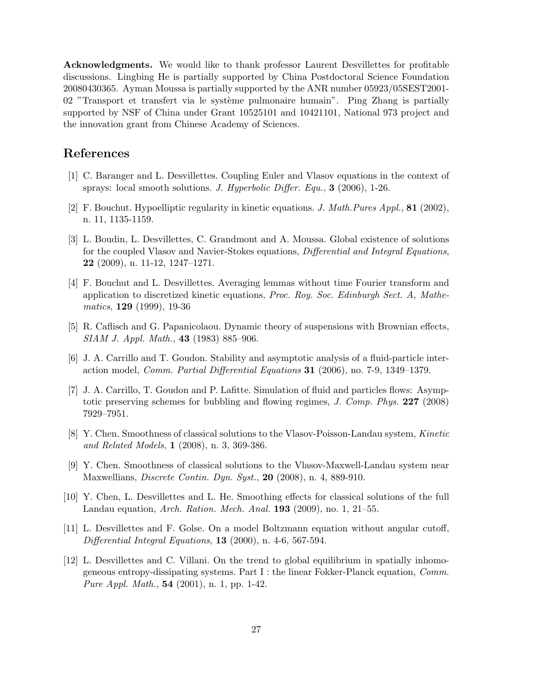Acknowledgments. We would like to thank professor Laurent Desvillettes for profitable discussions. Lingbing He is partially supported by China Postdoctoral Science Foundation 20080430365. Ayman Moussa is partially supported by the ANR number 05923/05SEST2001- 02 "Transport et transfert via le système pulmonaire humain". Ping Zhang is partially supported by NSF of China under Grant 10525101 and 10421101, National 973 project and the innovation grant from Chinese Academy of Sciences.

### References

- [1] C. Baranger and L. Desvillettes. Coupling Euler and Vlasov equations in the context of sprays: local smooth solutions. J. Hyperbolic Differ. Equ., 3 (2006), 1-26.
- [2] F. Bouchut. Hypoelliptic regularity in kinetic equations. *J. Math.Pures Appl.*, **81** (2002), n. 11, 1135-1159.
- [3] L. Boudin, L. Desvillettes, C. Grandmont and A. Moussa. Global existence of solutions for the coupled Vlasov and Navier-Stokes equations, Differential and Integral Equations, 22 (2009), n. 11-12, 1247–1271.
- [4] F. Bouchut and L. Desvillettes. Averaging lemmas without time Fourier transform and application to discretized kinetic equations, Proc. Roy. Soc. Edinburgh Sect. A, Mathematics, 129 (1999), 19-36
- [5] R. Caflisch and G. Papanicolaou. Dynamic theory of suspensions with Brownian effects, SIAM J. Appl. Math., 43 (1983) 885–906.
- [6] J. A. Carrillo and T. Goudon. Stability and asymptotic analysis of a fluid-particle interaction model, Comm. Partial Differential Equations 31 (2006), no. 7-9, 1349–1379.
- [7] J. A. Carrillo, T. Goudon and P. Lafitte. Simulation of fluid and particles flows: Asymptotic preserving schemes for bubbling and flowing regimes, J. Comp. Phys. 227 (2008) 7929–7951.
- [8] Y. Chen. Smoothness of classical solutions to the Vlasov-Poisson-Landau system, Kinetic and Related Models, 1 (2008), n. 3, 369-386.
- [9] Y. Chen. Smoothness of classical solutions to the Vlasov-Maxwell-Landau system near Maxwellians, Discrete Contin. Dyn. Syst., 20 (2008), n. 4, 889-910.
- [10] Y. Chen, L. Desvillettes and L. He. Smoothing effects for classical solutions of the full Landau equation, Arch. Ration. Mech. Anal. 193 (2009), no. 1, 21–55.
- [11] L. Desvillettes and F. Golse. On a model Boltzmann equation without angular cutoff, Differential Integral Equations, 13 (2000), n. 4-6, 567-594.
- [12] L. Desvillettes and C. Villani. On the trend to global equilibrium in spatially inhomogeneous entropy-dissipating systems. Part I : the linear Fokker-Planck equation, Comm. Pure Appl. Math., 54 (2001), n. 1, pp. 1-42.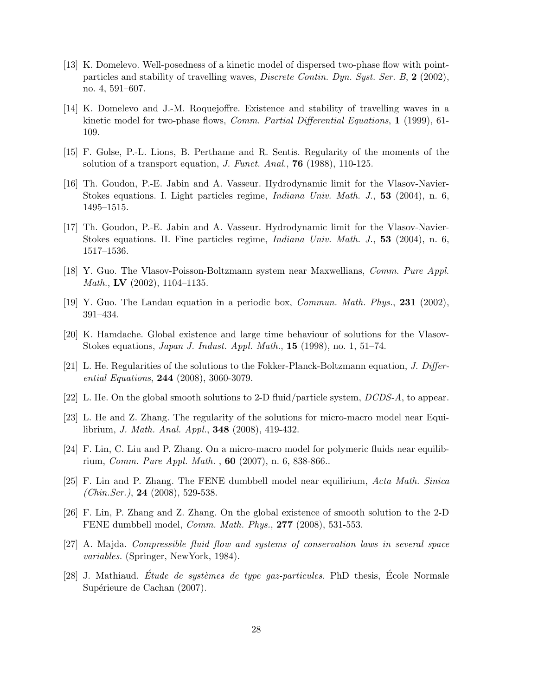- [13] K. Domelevo. Well-posedness of a kinetic model of dispersed two-phase flow with pointparticles and stability of travelling waves, Discrete Contin. Dyn. Syst. Ser. B, 2 (2002), no. 4, 591–607.
- [14] K. Domelevo and J.-M. Roquejoffre. Existence and stability of travelling waves in a kinetic model for two-phase flows, *Comm. Partial Differential Equations*, 1 (1999), 61-109.
- [15] F. Golse, P.-L. Lions, B. Perthame and R. Sentis. Regularity of the moments of the solution of a transport equation, *J. Funct. Anal.*, **76** (1988), 110-125.
- [16] Th. Goudon, P.-E. Jabin and A. Vasseur. Hydrodynamic limit for the Vlasov-Navier-Stokes equations. I. Light particles regime, Indiana Univ. Math. J., 53 (2004), n. 6, 1495–1515.
- [17] Th. Goudon, P.-E. Jabin and A. Vasseur. Hydrodynamic limit for the Vlasov-Navier-Stokes equations. II. Fine particles regime, Indiana Univ. Math. J., 53 (2004), n. 6, 1517–1536.
- [18] Y. Guo. The Vlasov-Poisson-Boltzmann system near Maxwellians, Comm. Pure Appl. *Math.*, **LV** (2002), 1104–1135.
- [19] Y. Guo. The Landau equation in a periodic box, Commun. Math. Phys., 231 (2002), 391–434.
- [20] K. Hamdache. Global existence and large time behaviour of solutions for the Vlasov-Stokes equations, Japan J. Indust. Appl. Math., 15 (1998), no. 1, 51–74.
- [21] L. He. Regularities of the solutions to the Fokker-Planck-Boltzmann equation, J. Differential Equations, 244 (2008), 3060-3079.
- [22] L. He. On the global smooth solutions to 2-D fluid/particle system, DCDS-A, to appear.
- [23] L. He and Z. Zhang. The regularity of the solutions for micro-macro model near Equilibrium, J. Math. Anal. Appl., 348 (2008), 419-432.
- [24] F. Lin, C. Liu and P. Zhang. On a micro-macro model for polymeric fluids near equilibrium, Comm. Pure Appl. Math. , 60 (2007), n. 6, 838-866..
- [25] F. Lin and P. Zhang. The FENE dumbbell model near equilirium, Acta Math. Sinica  $(Chin. Ser.), 24$  (2008), 529-538.
- [26] F. Lin, P. Zhang and Z. Zhang. On the global existence of smooth solution to the 2-D FENE dumbbell model, Comm. Math. Phys., 277 (2008), 531-553.
- [27] A. Majda. Compressible fluid flow and systems of conservation laws in several space variables. (Springer, NewYork, 1984).
- [28] J. Mathiaud. *Étude de systèmes de type gaz-particules*. PhD thesis, École Normale Supérieure de Cachan (2007).